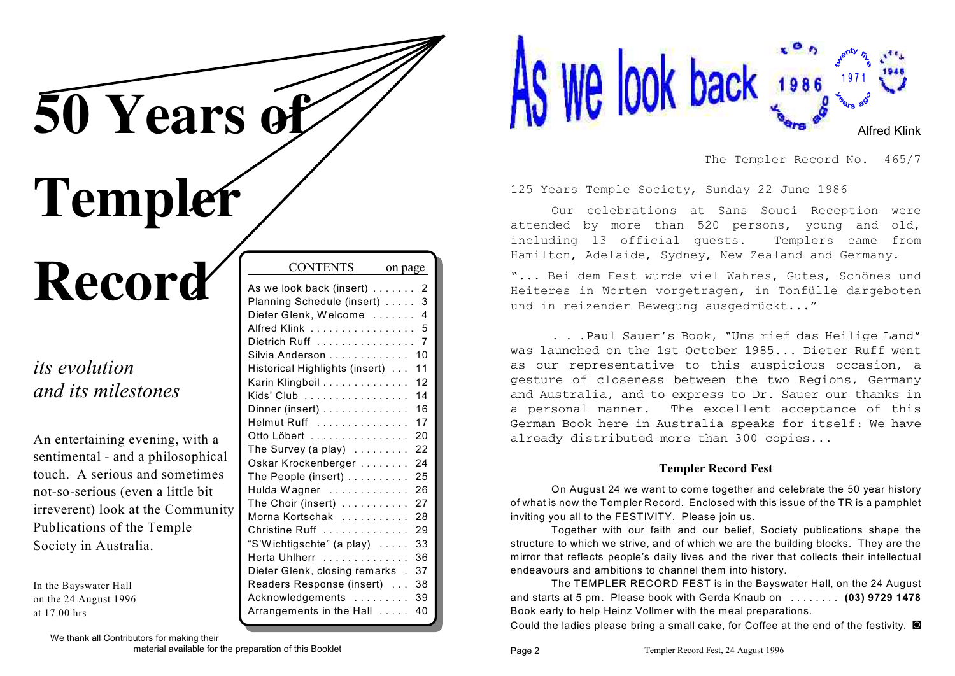**50 Years of**

# **Templer**

## **Record**

## *its evolution and its milestones*

An entertaining evening, with a sentimental - and a philosophical touch. A serious and sometimes not-so-serious (even a little bit irreverent) look at the Communit Publications of the Temple Society in Australia.

In the Bayswater Hall on the 24 August 1996 at 17.00 hrs

|   | As we look back (insert)            | 2  |
|---|-------------------------------------|----|
|   | Planning Schedule (insert)  3       |    |
|   | Dieter Glenk, Welcome  4            |    |
|   | Alfred Klink 5                      |    |
|   | Dietrich Ruff $\ldots$ ,  7         |    |
|   | Silvia Anderson                     | 10 |
|   | Historical Highlights (insert)      | 11 |
|   | Karin Klingbeil                     | 12 |
|   | Kids' Club                          | 14 |
|   | Dinner (insert)                     | 16 |
|   | Helmut Ruff                         | 17 |
|   | Otto Löbert                         | 20 |
|   | The Survey (a play) $\ldots \ldots$ | 22 |
|   | Oskar Krockenberger                 | 24 |
|   | The People (insert)                 | 25 |
|   | Hulda Wagner                        | 26 |
| Ŋ | The Choir (insert)                  | 27 |
|   | Morna Kortschak                     | 28 |
|   | Christine Ruff                      | 29 |
|   | "S'Wichtigschte" (a play)           | 33 |
|   | Herta Uhlherr                       | 36 |
|   | Dieter Glenk, closing remarks . 37  |    |
|   | Readers Response (insert)           | 38 |
|   | Acknowledgements                    | 39 |

Arrangements in the Hall . . . . . 40

CONTENTS on page



The Templer Record No. 465/7

125 Years Temple Society, Sunday 22 June 1986

Our celebrations at Sans Souci Reception were attended by more than 520 persons, young and old, including 13 official guests. Templers came from Hamilton, Adelaide, Sydney, New Zealand and Germany.

"... Bei dem Fest wurde viel Wahres, Gutes, Schönes und Heiteres in Worten vorgetragen, in Tonfülle dargeboten und in reizender Bewegung ausgedrückt..."

. . .Paul Sauer's Book, "Uns rief das Heilige Land" was launched on the 1st October 1985... Dieter Ruff went as our representative to this auspicious occasion, a gesture of closeness between the two Regions, Germany and Australia, and to express to Dr. Sauer our thanks in a personal manner. The excellent acceptance of this German Book here in Australia speaks for itself: We have already distributed more than 300 copies...

#### **Templer Record Fest**

On August 24 we want to come together and celebrate the 50 year history of what is now the Templer Record. Enclosed with this issue of the TR is a pamphlet inviting you all to the FESTIVITY. Please join us.

Together with our faith and our belief, Society publications shape the structure to which we strive, and of which we are the building blocks. They are the mirror that reflects people's daily lives and the river that collects their intellectual endeavours and ambitions to channel them into history.

The TEMPLER RECORD FEST is in the Bayswater Hall, on the 24 August and starts at 5 pm. Please book with Gerda Knaub on . . . . . . . . **(03) 9729 1478** Book early to help Heinz Vollmer with the meal preparations.

Could the ladies please bring a small cake, for Coffee at the end of the festivity.  $\blacksquare$ 

We thank all Contributors for making their

material available for the preparation of this Booklet Page 2 Page 2 Templer Record Fest, 24 August 1996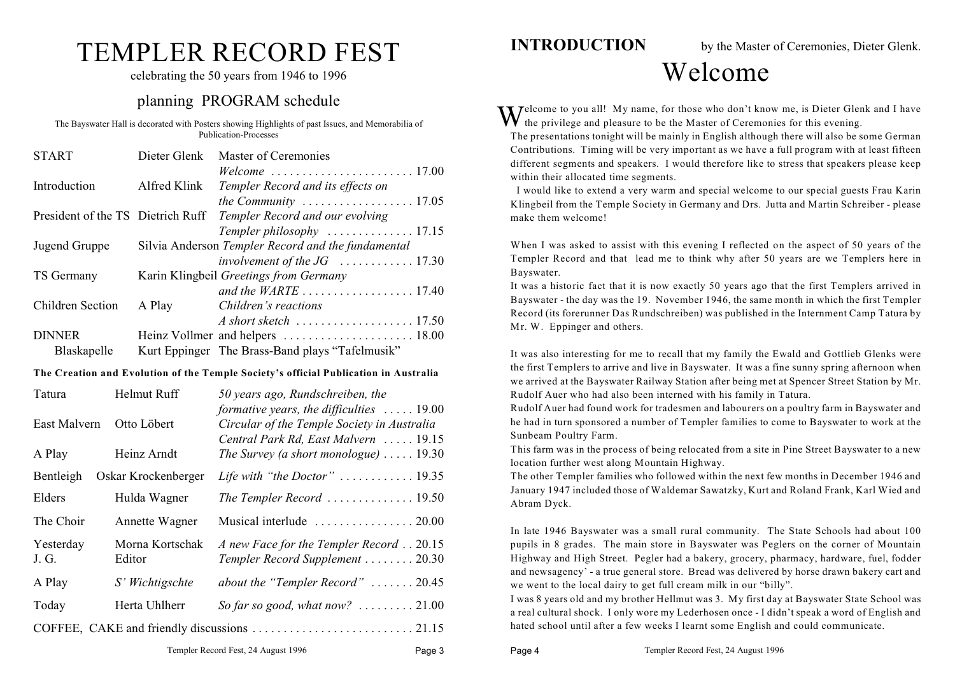## TEMPLER RECORD FEST

celebrating the 50 years from 1946 to 1996

#### planning PROGRAM schedule

The Bayswater Hall is decorated with Posters showing Highlights of past Issues, and Memorabilia of Publication-Processes

| <b>START</b>                      | Dieter Glenk | Master of Ceremonies                                               |
|-----------------------------------|--------------|--------------------------------------------------------------------|
|                                   |              |                                                                    |
| Introduction                      | Alfred Klink | Templer Record and its effects on                                  |
|                                   |              | the Community $\ldots \ldots \ldots \ldots \ldots 17.05$           |
| President of the TS Dietrich Ruff |              | Templer Record and our evolving                                    |
|                                   |              | Templer philosophy $\dots\dots\dots\dots\dots$ 17.15               |
| Jugend Gruppe                     |              | Silvia Anderson Templer Record and the fundamental                 |
|                                   |              |                                                                    |
| TS Germany                        |              | Karin Klingbeil Greetings from Germany                             |
|                                   |              |                                                                    |
| Children Section                  | A Play       | Children's reactions                                               |
|                                   |              | $A$ short sketch $\ldots \ldots \ldots \ldots \ldots \ldots 17.50$ |
| <b>DINNER</b>                     |              |                                                                    |
| Blaskapelle                       |              | Kurt Eppinger The Brass-Band plays "Tafelmusik"                    |

#### **The Creation and Evolution of the Temple Society's official Publication in Australia**

| Tatura             | Helmut Ruff               | 50 years ago, Rundschreiben, the<br>formative years, the difficulties $\ldots$ 19.00 |  |  |
|--------------------|---------------------------|--------------------------------------------------------------------------------------|--|--|
| East Malvern       | Otto Löbert               | Circular of the Temple Society in Australia<br>Central Park Rd, East Malvern  19.15  |  |  |
| A Play             | Heinz Arndt               | The Survey (a short monologue) $\ldots$ 19.30                                        |  |  |
| Bentleigh          | Oskar Krockenberger       | Life with "the Doctor" $\dots\dots\dots\dots$ 19.35                                  |  |  |
| Elders             | Hulda Wagner              | The Templer Record $\ldots \ldots \ldots \ldots 19.50$                               |  |  |
| The Choir          | Annette Wagner            |                                                                                      |  |  |
| Yesterday<br>J. G. | Morna Kortschak<br>Editor | A new Face for the Templer Record 20.15<br>Templer Record Supplement 20.30           |  |  |
| A Play             | S' Wichtigschte           | about the "Templer Record" $\ldots \ldots 20.45$                                     |  |  |
| Today              | Herta Uhlherr             | So far so good, what now? $\ldots \ldots \ldots 21.00$                               |  |  |
|                    |                           |                                                                                      |  |  |
|                    |                           |                                                                                      |  |  |

**INTRODUCTION** by the Master of Ceremonies, Dieter Glenk.

## Welcome

Welcome to you all! My name, for those who don't know me, is Dieter Glenk and I have the privilege and pleasure to be the Master of Ceremonies for this evening.

The presentations tonight will be mainly in English although there will also be some German Contributions. Timing will be very important as we have a full program with at least fifteen different segments and speakers. I would therefore like to stress that speakers please keep within their allocated time segments.

 I would like to extend a very warm and special welcome to our special guests Frau Karin Klingbeil from the Temple Society in Germany and Drs. Jutta and Martin Schreiber - please make them welcome!

When I was asked to assist with this evening I reflected on the aspect of 50 years of the Templer Record and that lead me to think why after 50 years are we Templers here in Bayswater.

It was a historic fact that it is now exactly 50 years ago that the first Templers arrived in Bayswater - the day was the 19. November 1946, the same month in which the first Templer Record (its forerunner Das Rundschreiben) was published in the Internment Camp Tatura by Mr. W. Eppinger and others.

It was also interesting for me to recall that my family the Ewald and Gottlieb Glenks were the first Templers to arrive and live in Bayswater. It was a fine sunny spring afternoon when we arrived at the Bayswater Railway Station after being met at Spencer Street Station by Mr. Rudolf Auer who had also been interned with his family in Tatura.

Rudolf Auer had found work for tradesmen and labourers on a poultry farm in Bayswater and he had in turn sponsored a number of Templer families to come to Bayswater to work at the Sunbeam Poultry Farm.

This farm was in the process of being relocated from a site in Pine Street Bayswater to a new location further west along Mountain Highway.

The other Templer families who followed within the next few months in December 1946 and January 1947 included those of Waldemar Sawatzky, Kurt and Roland Frank, Karl Wied and Abram Dyck.

In late 1946 Bayswater was a small rural community. The State Schools had about 100 pupils in 8 grades. The main store in Bayswater was Peglers on the corner of Mountain Highway and High Street. Pegler had a bakery, grocery, pharmacy, hardware, fuel, fodder and newsagency' - a true general store. Bread was delivered by horse drawn bakery cart and we went to the local dairy to get full cream milk in our "billy".

I was 8 years old and my brother Hellmut was 3. My first day at Bayswater State School was a real cultural shock. I only wore my Lederhosen once - I didn't speak a word of English and hated school until after a few weeks I learnt some English and could communicate.

Page 4 Templer Record Fest, 24 August 1996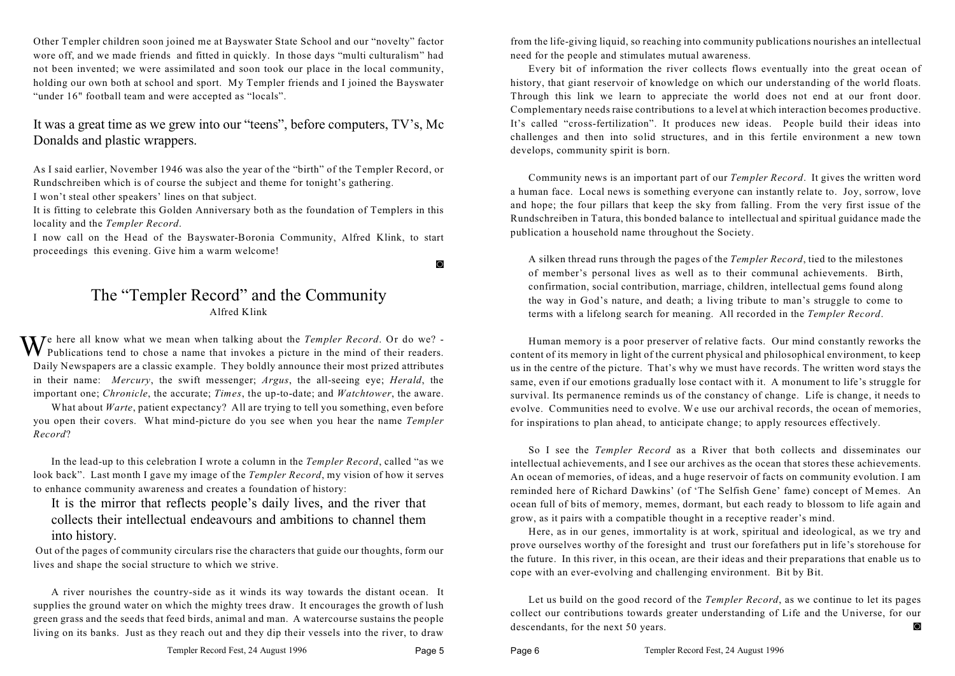Other Templer children soon joined me at Bayswater State School and our "novelty" factor wore off, and we made friends and fitted in quickly. In those days "multi culturalism" had not been invented; we were assimilated and soon took our place in the local community, holding our own both at school and sport. My Templer friends and I joined the Bayswater "under 16" football team and were accepted as "locals".

It was a great time as we grew into our "teens", before computers, TV's, Mc Donalds and plastic wrappers.

As I said earlier, November 1946 was also the year of the "birth" of the Templer Record, or Rundschreiben which is of course the subject and theme for tonight's gathering. I won't steal other speakers' lines on that subject.

It is fitting to celebrate this Golden Anniversary both as the foundation of Templers in this locality and the *Templer Record*.

I now call on the Head of the Bayswater-Boronia Community, Alfred Klink, to start proceedings this evening. Give him a warm welcome!

 $\circ$ 

#### The "Templer Record" and the Community Alfred Klink

**T** *T*e here all know what we mean when talking about the *Templer Record*. Or do we? - $\mathbf{V} \mathbf{V}$  Publications tend to chose a name that invokes a picture in the mind of their readers. Daily Newspapers are a classic example. They boldly announce their most prized attributes in their name: *Mercury*, the swift messenger; *Argus*, the all-seeing eye; *Herald*, the important one; *Chronicle*, the accurate; *Times*, the up-to-date; and *Watchtower*, the aware.

What about *Warte*, patient expectancy? All are trying to tell you something, even before you open their covers. What mind-picture do you see when you hear the name *Templer Record*?

In the lead-up to this celebration I wrote a column in the *Templer Record*, called "as we look back". Last month I gave my image of the *Templer Record*, my vision of how it serves to enhance community awareness and creates a foundation of history:

It is the mirror that reflects people's daily lives, and the river that collects their intellectual endeavours and ambitions to channel them into history.

 Out of the pages of community circulars rise the characters that guide our thoughts, form our lives and shape the social structure to which we strive.

A river nourishes the country-side as it winds its way towards the distant ocean. It supplies the ground water on which the mighty trees draw. It encourages the growth of lush green grass and the seeds that feed birds, animal and man. A watercourse sustains the people living on its banks. Just as they reach out and they dip their vessels into the river, to draw from the life-giving liquid, so reaching into community publications nourishes an intellectual need for the people and stimulates mutual awareness.

Every bit of information the river collects flows eventually into the great ocean of history, that giant reservoir of knowledge on which our understanding of the world floats. Through this link we learn to appreciate the world does not end at our front door. Complementary needs raise contributions to a level at which interaction becomes productive. It's called "cross-fertilization". It produces new ideas. People build their ideas into challenges and then into solid structures, and in this fertile environment a new town develops, community spirit is born.

Community news is an important part of our *Templer Record*. It gives the written word a human face. Local news is something everyone can instantly relate to. Joy, sorrow, love and hope; the four pillars that keep the sky from falling. From the very first issue of the Rundschreiben in Tatura, this bonded balance to intellectual and spiritual guidance made the publication a household name throughout the Society.

A silken thread runs through the pages of the *Templer Record*, tied to the milestones of member's personal lives as well as to their communal achievements. Birth, confirmation, social contribution, marriage, children, intellectual gems found along the way in God's nature, and death; a living tribute to man's struggle to come to terms with a lifelong search for meaning. All recorded in the *Templer Record*.

Human memory is a poor preserver of relative facts. Our mind constantly reworks the content of its memory in light of the current physical and philosophical environment, to keep us in the centre of the picture. That's why we must have records. The written word stays the same, even if our emotions gradually lose contact with it. A monument to life's struggle for survival. Its permanence reminds us of the constancy of change. Life is change, it needs to evolve. Communities need to evolve. We use our archival records, the ocean of memories, for inspirations to plan ahead, to anticipate change; to apply resources effectively.

So I see the *Templer Record* as a River that both collects and disseminates our intellectual achievements, and I see our archives as the ocean that stores these achievements. An ocean of memories, of ideas, and a huge reservoir of facts on community evolution. I am reminded here of Richard Dawkins' (of 'The Selfish Gene' fame) concept of Memes. An ocean full of bits of memory, memes, dormant, but each ready to blossom to life again and grow, as it pairs with a compatible thought in a receptive reader's mind.

Here, as in our genes, immortality is at work, spiritual and ideological, as we try and prove ourselves worthy of the foresight and trust our forefathers put in life's storehouse for the future. In this river, in this ocean, are their ideas and their preparations that enable us to cope with an ever-evolving and challenging environment. Bit by Bit.

Let us build on the good record of the *Templer Record*, as we continue to let its pages collect our contributions towards greater understanding of Life and the Universe, for our descendants, for the next 50 years.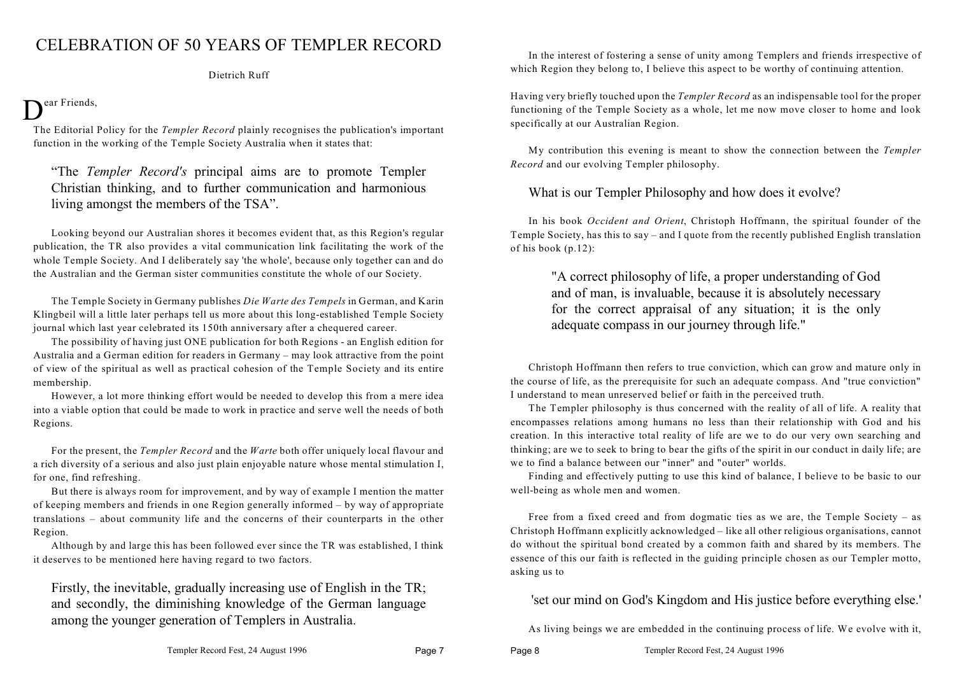### CELEBRATION OF 50 YEARS OF TEMPLER RECORD

Dietrich Ruff

## Dear Friends,

The Editorial Policy for the *Templer Record* plainly recognises the publication's important function in the working of the Temple Society Australia when it states that:

"The *Templer Record's* principal aims are to promote Templer Christian thinking, and to further communication and harmonious living amongst the members of the TSA".

Looking beyond our Australian shores it becomes evident that, as this Region's regular publication, the TR also provides a vital communication link facilitating the work of the whole Temple Society. And I deliberately say 'the whole', because only together can and do the Australian and the German sister communities constitute the whole of our Society.

The Temple Society in Germany publishes *Die Warte des Tempels* in German, and Karin Klingbeil will a little later perhaps tell us more about this long-established Temple Society journal which last year celebrated its 150th anniversary after a chequered career.

The possibility of having just ONE publication for both Regions - an English edition for Australia and a German edition for readers in Germany – may look attractive from the point of view of the spiritual as well as practical cohesion of the Temple Society and its entire membership.

However, a lot more thinking effort would be needed to develop this from a mere idea into a viable option that could be made to work in practice and serve well the needs of both Regions.

For the present, the *Templer Record* and the *Warte* both offer uniquely local flavour and a rich diversity of a serious and also just plain enjoyable nature whose mental stimulation I, for one, find refreshing.

But there is always room for improvement, and by way of example I mention the matter of keeping members and friends in one Region generally informed – by way of appropriate translations – about community life and the concerns of their counterparts in the other Region.

Although by and large this has been followed ever since the TR was established, I think it deserves to be mentioned here having regard to two factors.

Firstly, the inevitable, gradually increasing use of English in the TR; and secondly, the diminishing knowledge of the German language among the younger generation of Templers in Australia.

In the interest of fostering a sense of unity among Templers and friends irrespective of which Region they belong to, I believe this aspect to be worthy of continuing attention.

Having very briefly touched upon the *Templer Record* as an indispensable tool for the proper functioning of the Temple Society as a whole, let me now move closer to home and look specifically at our Australian Region.

My contribution this evening is meant to show the connection between the *Templer Record* and our evolving Templer philosophy.

#### What is our Templer Philosophy and how does it evolve?

In his book *Occident and Orient*, Christoph Hoffmann, the spiritual founder of the Temple Society, has this to say – and I quote from the recently published English translation of his book (p.12):

"A correct philosophy of life, a proper understanding of God and of man, is invaluable, because it is absolutely necessary for the correct appraisal of any situation; it is the only adequate compass in our journey through life."

Christoph Hoffmann then refers to true conviction, which can grow and mature only in the course of life, as the prerequisite for such an adequate compass. And "true conviction" I understand to mean unreserved belief or faith in the perceived truth.

The Templer philosophy is thus concerned with the reality of all of life. A reality that encompasses relations among humans no less than their relationship with God and his creation. In this interactive total reality of life are we to do our very own searching and thinking; are we to seek to bring to bear the gifts of the spirit in our conduct in daily life; are we to find a balance between our "inner" and "outer" worlds.

Finding and effectively putting to use this kind of balance, I believe to be basic to our well-being as whole men and women.

Free from a fixed creed and from dogmatic ties as we are, the Temple Society – as Christoph Hoffmann explicitly acknowledged – like all other religious organisations, cannot do without the spiritual bond created by a common faith and shared by its members. The essence of this our faith is reflected in the guiding principle chosen as our Templer motto, asking us to

'set our mind on God's Kingdom and His justice before everything else.'

As living beings we are embedded in the continuing process of life. We evolve with it,

Page 8 Templer Record Fest, 24 August 1996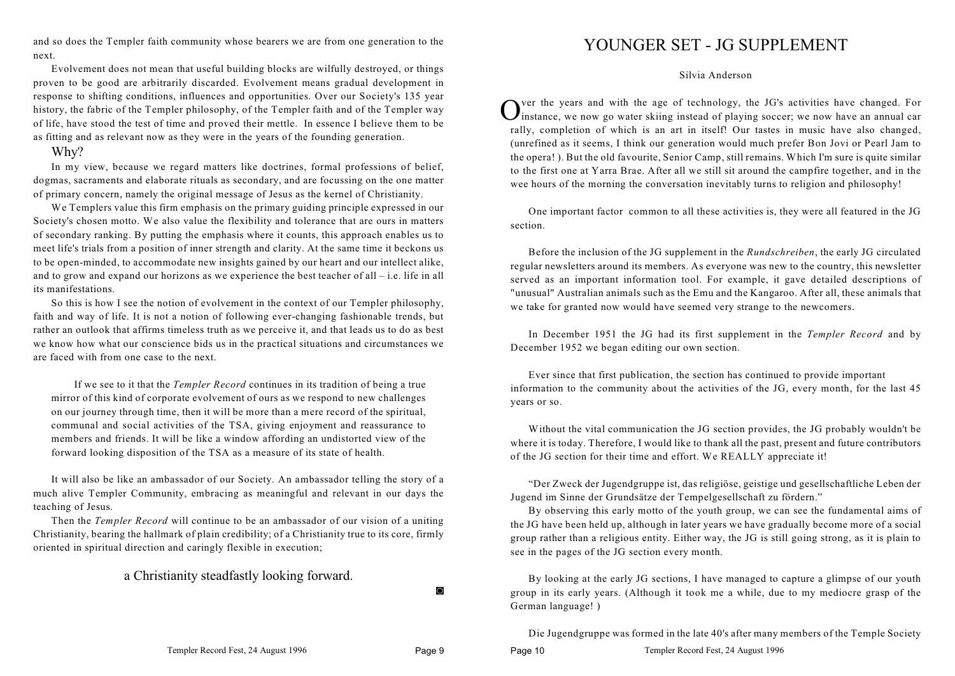and so does the Templer faith community whose bearers we are from one generation to the next.

Evolvement does not mean that useful building blocks are wilfully destroyed, or things proven to be good are arbitrarily discarded. Evolvement means gradual development in response to shifting conditions, influences and opportunities. Over our Society's 135 year history, the fabric of the Templer philosophy, of the Templer faith and of the Templer way of life, have stood the test of time and proved their mettle. In essence I believe them to be as fitting and as relevant now as they were in the years of the founding generation.

#### Why?

In my view, because we regard matters like doctrines, formal professions of belief, dogmas, sacraments and elaborate rituals as secondary, and are focussing on the one matter of primary concern, namely the original message of Jesus as the kernel of Christianity.

We Templers value this firm emphasis on the primary guiding principle expressed in our Society's chosen motto. We also value the flexibility and tolerance that are ours in matters of secondary ranking. By putting the emphasis where it counts, this approach enables us to meet life's trials from a position of inner strength and clarity. At the same time it beckons us to be open-minded, to accommodate new insights gained by our heart and our intellect alike, and to grow and expand our horizons as we experience the best teacher of all – i.e. life in all its manifestations.

So this is how I see the notion of evolvement in the context of our Templer philosophy, faith and way of life. It is not a notion of following ever-changing fashionable trends, but rather an outlook that affirms timeless truth as we perceive it, and that leads us to do as best we know how what our conscience bids us in the practical situations and circumstances we are faced with from one case to the next.

If we see to it that the *Templer Record* continues in its tradition of being a true mirror of this kind of corporate evolvement of ours as we respond to new challenges on our journey through time, then it will be more than a mere record of the spiritual, communal and social activities of the TSA, giving enjoyment and reassurance to members and friends. It will be like a window affording an undistorted view of the forward looking disposition of the TSA as a measure of its state of health.

It will also be like an ambassador of our Society. An ambassador telling the story of a much alive Templer Community, embracing as meaningful and relevant in our days the teaching of Jesus.

Then the *Templer Record* will continue to be an ambassador of our vision of a uniting Christianity, bearing the hallmark of plain credibility; of a Christianity true to its core, firmly oriented in spiritual direction and caringly flexible in execution;

#### a Christianity steadfastly looking forward.

 $\Omega$ 

#### YOUNGER SET - JG SUPPLEMENT

Silvia Anderson

O ver the years and with the age of technology, the JG's activities have changed. For instance, we now go water skiing instead of playing soccer; we now have an annual car rally, completion of which is an art in itself! Our tastes in music have also changed, (unrefined as it seems, I think our generation would much prefer Bon Jovi or Pearl Jam to the opera! ). But the old favourite, Senior Camp, still remains. Which I'm sure is quite similar to the first one at Yarra Brae. After all we still sit around the campfire together, and in the wee hours of the morning the conversation inevitably turns to religion and philosophy!

One important factor common to all these activities is, they were all featured in the JG section.

Before the inclusion of the JG supplement in the *Rundschreiben*, the early JG circulated regular newsletters around its members. As everyone was new to the country, this newsletter served as an important information tool. For example, it gave detailed descriptions of "unusual" Australian animals such as the Emu and the Kangaroo. After all, these animals that we take for granted now would have seemed very strange to the newcomers.

In December 1951 the JG had its first supplement in the *Templer Record* and by December 1952 we began editing our own section.

Ever since that first publication, the section has continued to provide important information to the community about the activities of the JG, every month, for the last 45 years or so.

Without the vital communication the JG section provides, the JG probably wouldn't be where it is today. Therefore, I would like to thank all the past, present and future contributors of the JG section for their time and effort. We REALLY appreciate it!

"Der Zweck der Jugendgruppe ist, das religiöse, geistige und gesellschaftliche Leben der Jugend im Sinne der Grundsätze der Tempelgesellschaft zu fördern."

By observing this early motto of the youth group, we can see the fundamental aims of the JG have been held up, although in later years we have gradually become more of a social group rather than a religious entity. Either way, the JG is still going strong, as it is plain to see in the pages of the JG section every month.

By looking at the early JG sections, I have managed to capture a glimpse of our youth group in its early years. (Although it took me a while, due to my mediocre grasp of the German language! )

Die Jugendgruppe was formed in the late 40's after many members of the Temple Society

Page 10 Templer Record Fest, 24 August 1996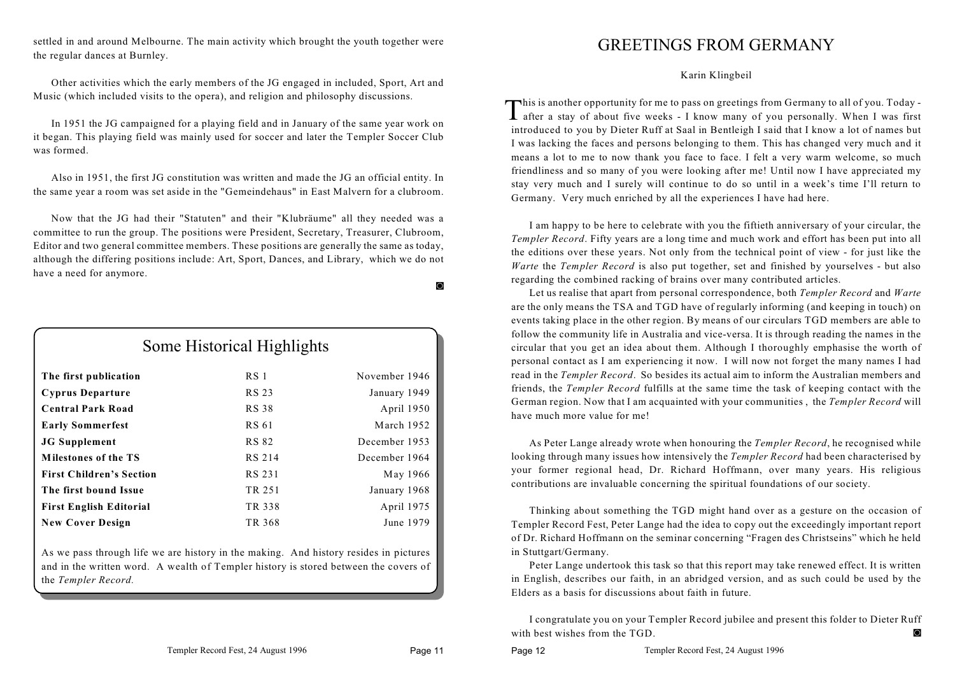settled in and around Melbourne. The main activity which brought the youth together were the regular dances at Burnley.

Other activities which the early members of the JG engaged in included, Sport, Art and Music (which included visits to the opera), and religion and philosophy discussions.

In 1951 the JG campaigned for a playing field and in January of the same year work on it began. This playing field was mainly used for soccer and later the Templer Soccer Club was formed.

Also in 1951, the first JG constitution was written and made the JG an official entity. In the same year a room was set aside in the "Gemeindehaus" in East Malvern for a clubroom.

Now that the JG had their "Statuten" and their "Klubräume" all they needed was a committee to run the group. The positions were President, Secretary, Treasurer, Clubroom, Editor and two general committee members. These positions are generally the same as today, although the differing positions include: Art, Sport, Dances, and Library, which we do not have a need for anymore.

| Some Historical Highlights      |                 |               |  |  |  |
|---------------------------------|-----------------|---------------|--|--|--|
| The first publication           | RS <sub>1</sub> | November 1946 |  |  |  |
| <b>Cyprus Departure</b>         | <b>RS 23</b>    | January 1949  |  |  |  |
| <b>Central Park Road</b>        | <b>RS 38</b>    | April 1950    |  |  |  |
| <b>Early Sommerfest</b>         | <b>RS 61</b>    | March 1952    |  |  |  |
| <b>JG</b> Supplement            | <b>RS 82</b>    | December 1953 |  |  |  |
| <b>Milestones of the TS</b>     | <b>RS 214</b>   | December 1964 |  |  |  |
| <b>First Children's Section</b> | RS 231          | May 1966      |  |  |  |
| The first bound Issue           | TR 251          | January 1968  |  |  |  |
| <b>First English Editorial</b>  | TR 338          | April 1975    |  |  |  |
| <b>New Cover Design</b>         | TR 368          | June 1979     |  |  |  |

As we pass through life we are history in the making. And history resides in pictures and in the written word. A wealth of Templer history is stored between the covers of the *Templer Record.*

#### GREETINGS FROM GERMANY

Karin Klingbeil

This is another opportunity for me to pass on greetings from Germany to all of you. Today after a stay of about five weeks - I know many of you personally. When I was first after a stay of about five weeks - I know many of you personally. When I was first introduced to you by Dieter Ruff at Saal in Bentleigh I said that I know a lot of names but I was lacking the faces and persons belonging to them. This has changed very much and it means a lot to me to now thank you face to face. I felt a very warm welcome, so much friendliness and so many of you were looking after me! Until now I have appreciated my stay very much and I surely will continue to do so until in a week's time I'll return to Germany. Very much enriched by all the experiences I have had here.

I am happy to be here to celebrate with you the fiftieth anniversary of your circular, the *Templer Record*. Fifty years are a long time and much work and effort has been put into all the editions over these years. Not only from the technical point of view - for just like the *Warte* the *Templer Record* is also put together, set and finished by yourselves - but also regarding the combined racking of brains over many contributed articles.

Let us realise that apart from personal correspondence, both *Templer Record* and *Warte* are the only means the TSA and TGD have of regularly informing (and keeping in touch) on events taking place in the other region. By means of our circulars TGD members are able to follow the community life in Australia and vice-versa. It is through reading the names in the circular that you get an idea about them. Although I thoroughly emphasise the worth of personal contact as I am experiencing it now. I will now not forget the many names I had read in the *Templer Record*. So besides its actual aim to inform the Australian members and friends, the *Templer Record* fulfills at the same time the task of keeping contact with the German region. Now that I am acquainted with your communities , the *Templer Record* will have much more value for me!

As Peter Lange already wrote when honouring the *Templer Record*, he recognised while looking through many issues how intensively the *Templer Record* had been characterised by your former regional head, Dr. Richard Hoffmann, over many years. His religious contributions are invaluable concerning the spiritual foundations of our society.

Thinking about something the TGD might hand over as a gesture on the occasion of Templer Record Fest, Peter Lange had the idea to copy out the exceedingly important report of Dr. Richard Hoffmann on the seminar concerning "Fragen des Christseins" which he held in Stuttgart/Germany.

Peter Lange undertook this task so that this report may take renewed effect. It is written in English, describes our faith, in an abridged version, and as such could be used by the Elders as a basis for discussions about faith in future.

I congratulate you on your Templer Record jubilee and present this folder to Dieter Ruff with best wishes from the TGD.

 $\circ$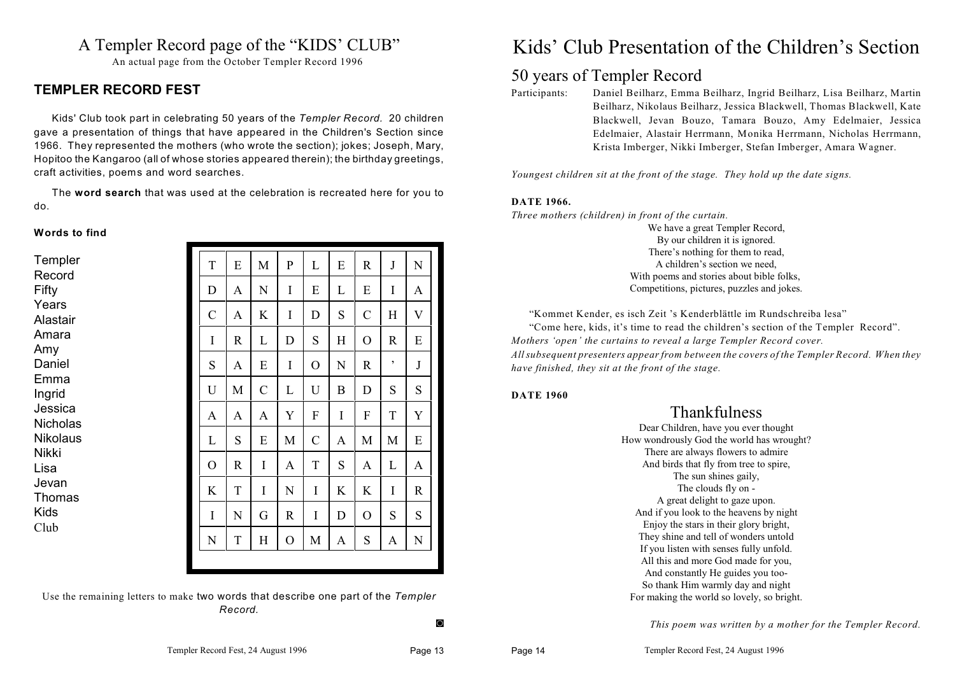#### A Templer Record page of the "KIDS' CLUB"

An actual page from the October Templer Record 1996

#### **TEMPLER RECORD FEST**

Kids' Club took part in celebrating 50 years of the *Templer Record.* 20 children gave a presentation of things that have appeared in the Children's Section since 1966. They represented the mothers (who wrote the section); jokes; Joseph, Mary, Hopitoo the Kangaroo (all of whose stories appeared therein); the birthday greetings, craft activities, poems and word searches.

The **word search** that was used at the celebration is recreated here for you to do.

#### **Words to find**

| Templer<br>Record          | T             | E | M             | $\mathbf P$  | L              | E | $\mathbf R$   | $\bf J$      | N            |
|----------------------------|---------------|---|---------------|--------------|----------------|---|---------------|--------------|--------------|
| Fifty                      | D             | A | N             | I            | E              | L | E             | I            | A            |
| Years<br>Alastair          | $\mathcal{C}$ | A | K             | I            | D              | S | $\mathcal{C}$ | Η            | V            |
| Amara<br>Amy               | I             | R | L             | D            | S              | H | $\mathcal{O}$ | $\mathbb{R}$ | E            |
| Daniel                     | S             | A | E             | I            | $\overline{O}$ | N | $\mathbb{R}$  | ,            | $\mathbf{J}$ |
| Emma<br>Ingrid             | U             | M | $\mathcal{C}$ | L            | U              | B | D             | S            | S            |
| Jessica<br><b>Nicholas</b> | A             | A | A             | Y            | F              | I | F             | T            | Y            |
| <b>Nikolaus</b>            | L             | S | E             | M            | $\mathcal{C}$  | A | M             | M            | E            |
| <b>Nikki</b><br>Lisa       | O             | R | I             | $\mathbf{A}$ | $\rm T$        | S | A             | L            | A            |
| Jevan<br>Thomas            | K             | T | I             | N            | I              | K | K             | I            | $\mathbb{R}$ |
| <b>Kids</b>                | I             | N | G             | $\mathbb{R}$ | I              | D | $\mathbf O$   | S            | S            |
| Club                       | N             | T | H             | $\rm{O}$     | M              | A | S             | A            | ${\bf N}$    |

Use the remaining letters to make two words that describe one part of the *Templer Record.*

## Kids' Club Presentation of the Children's Section

#### 50 years of Templer Record

Participants: Daniel Beilharz, Emma Beilharz, Ingrid Beilharz, Lisa Beilharz, Martin Beilharz, Nikolaus Beilharz, Jessica Blackwell, Thomas Blackwell, Kate Blackwell, Jevan Bouzo, Tamara Bouzo, Amy Edelmaier, Jessica Edelmaier, Alastair Herrmann, Monika Herrmann, Nicholas Herrmann, Krista Imberger, Nikki Imberger, Stefan Imberger, Amara Wagner.

*Youngest children sit at the front of the stage. They hold up the date signs.*

#### **DATE 1966.**

*Three mothers (children) in front of the curtain.*

We have a great Templer Record, By our children it is ignored. There's nothing for them to read, A children's section we need, With poems and stories about bible folks, Competitions, pictures, puzzles and jokes.

"Kommet Kender, es isch Zeit 's Kenderblättle im Rundschreiba lesa"

"Come here, kids, it's time to read the children's section of the Templer Record". *Mothers 'open' the curtains to reveal a large Templer Record cover. All subsequent presenters appear from between the covers of the Templer Record. When they have finished, they sit at the front of the stage.*

#### **DATE 1960**

#### **Thankfulness**

Dear Children, have you ever thought How wondrously God the world has wrought? There are always flowers to admire And birds that fly from tree to spire, The sun shines gaily, The clouds fly on - A great delight to gaze upon. And if you look to the heavens by night Enjoy the stars in their glory bright, They shine and tell of wonders untold If you listen with senses fully unfold. All this and more God made for you, And constantly He guides you too-So thank Him warmly day and night For making the world so lovely, so bright.

*This poem was written by a mother for the Templer Record.*

 $\circ$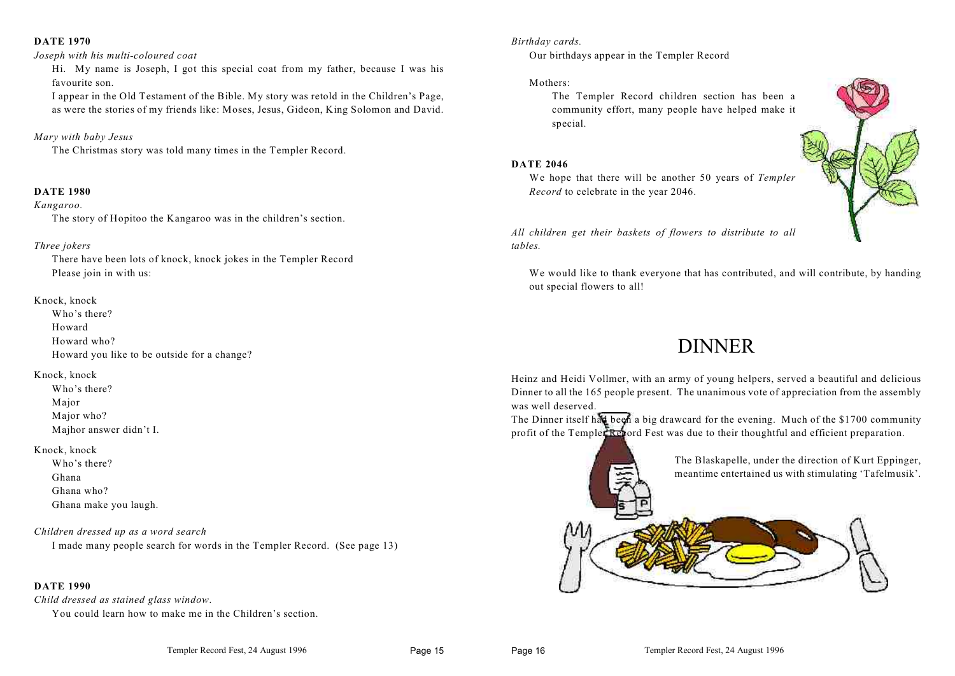#### **DATE 1970**

#### *Joseph with his multi-coloured coat*

Hi. My name is Joseph, I got this special coat from my father, because I was his favourite son.

I appear in the Old Testament of the Bible. My story was retold in the Children's Page, as were the stories of my friends like: Moses, Jesus, Gideon, King Solomon and David.

#### *Mary with baby Jesus*

The Christmas story was told many times in the Templer Record.

#### **DATE 1980**

#### *Kangaroo.*

The story of Hopitoo the Kangaroo was in the children's section.

#### *Three jokers*

There have been lots of knock, knock jokes in the Templer Record Please join in with us:

#### Knock, knock

Who's there? Howard Howard who? Howard you like to be outside for a change?

#### Knock, knock

Who's there? Major Major who? Majhor answer didn't I.

#### Knock, knock

Who's there? Ghana Ghana who? Ghana make you laugh.

#### *Children dressed up as a word search*

I made many people search for words in the Templer Record. (See page 13)

#### **DATE 1990**

*Child dressed as stained glass window.* 

You could learn how to make me in the Children's section.

#### *Birthday cards.*

Our birthdays appear in the Templer Record

#### Mothers:

The Templer Record children section has been a community effort, many people have helped make it special.

#### **DATE 2046**

We hope that there will be another 50 years of *Templer Record* to celebrate in the year 2046.



*All children get their baskets of flowers to distribute to all tables.*

We would like to thank everyone that has contributed, and will contribute, by handing out special flowers to all!

## DINNER

Heinz and Heidi Vollmer, with an army of young helpers, served a beautiful and delicious Dinner to all the 165 people present. The unanimous vote of appreciation from the assembly was well deserved.

The Dinner itself had been a big drawcard for the evening. Much of the \$1700 community profit of the Templer Repord Fest was due to their thoughtful and efficient preparation.

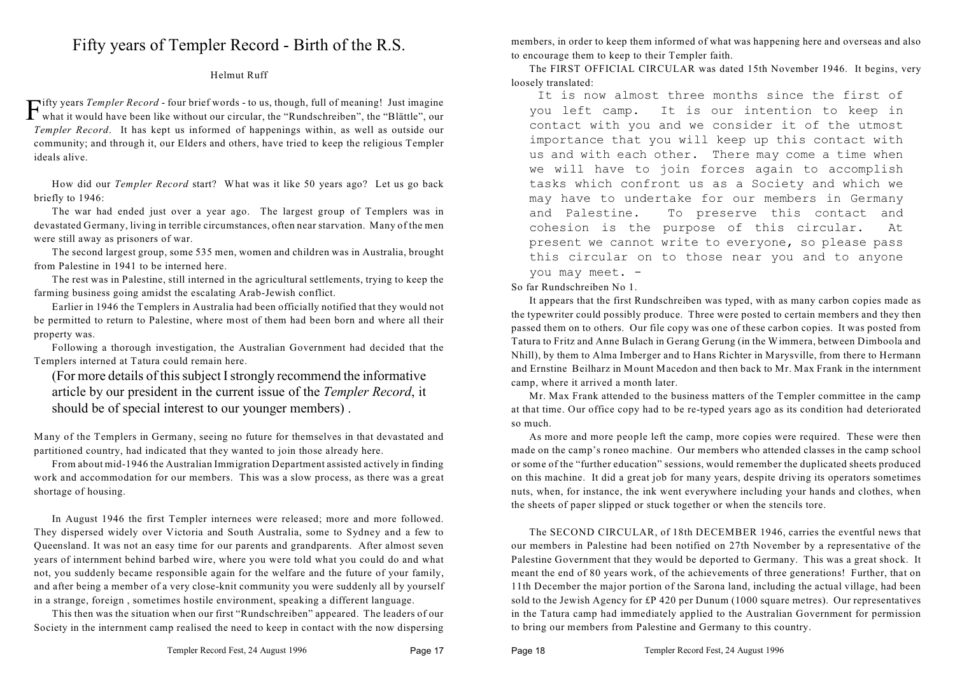### Fifty years of Templer Record - Birth of the R.S.

#### Helmut Ruff

Fifty years *Templer Record* - four brief words - to us, though, full of meaning! Just imagine what it would have been like without our circular, the "Rundschreiben", the "Blättle", our ifty years *Templer Record* - four brief words - to us, though, full of meaning! Just imagine *Templer Record*. It has kept us informed of happenings within, as well as outside our community; and through it, our Elders and others, have tried to keep the religious Templer ideals alive.

How did our *Templer Record* start? What was it like 50 years ago? Let us go back briefly to 1946:

The war had ended just over a year ago. The largest group of Templers was in devastated Germany, living in terrible circumstances, often near starvation. Many of the men were still away as prisoners of war.

The second largest group, some 535 men, women and children was in Australia, brought from Palestine in 1941 to be interned here.

The rest was in Palestine, still interned in the agricultural settlements, trying to keep the farming business going amidst the escalating Arab-Jewish conflict.

Earlier in 1946 the Templers in Australia had been officially notified that they would not be permitted to return to Palestine, where most of them had been born and where all their property was.

Following a thorough investigation, the Australian Government had decided that the Templers interned at Tatura could remain here.

(For more details of this subject Istrongly recommend the informative article by our president in the current issue of the *Templer Record*, it should be of special interest to our younger members) .

Many of the Templers in Germany, seeing no future for themselves in that devastated and partitioned country, had indicated that they wanted to join those already here.

From about mid-1946 the Australian Immigration Department assisted actively in finding work and accommodation for our members. This was a slow process, as there was a great shortage of housing.

In August 1946 the first Templer internees were released; more and more followed. They dispersed widely over Victoria and South Australia, some to Sydney and a few to Queensland. It was not an easy time for our parents and grandparents. After almost seven years of internment behind barbed wire, where you were told what you could do and what not, you suddenly became responsible again for the welfare and the future of your family, and after being a member of a very close-knit community you were suddenly all by yourself in a strange, foreign , sometimes hostile environment, speaking a different language.

This then was the situation when our first "Rundschreiben" appeared. The leaders of our Society in the internment camp realised the need to keep in contact with the now dispersing

members, in order to keep them informed of what was happening here and overseas and also to encourage them to keep to their Templer faith.

The FIRST OFFICIAL CIRCULAR was dated 15th November 1946. It begins, very loosely translated:

 It is now almost three months since the first of you left camp. It is our intention to keep in contact with you and we consider it of the utmost importance that you will keep up this contact with us and with each other. There may come a time when we will have to join forces again to accomplish tasks which confront us as a Society and which we may have to undertake for our members in Germany and Palestine. To preserve this contact and cohesion is the purpose of this circular. At present we cannot write to everyone, so please pass this circular on to those near you and to anyone you may meet. -

So far Rundschreiben No 1.

It appears that the first Rundschreiben was typed, with as many carbon copies made as the typewriter could possibly produce. Three were posted to certain members and they then passed them on to others. Our file copy was one of these carbon copies. It was posted from Tatura to Fritz and Anne Bulach in Gerang Gerung (in the Wimmera, between Dimboola and Nhill), by them to Alma Imberger and to Hans Richter in Marysville, from there to Hermann and Ernstine Beilharz in Mount Macedon and then back to Mr. Max Frank in the internment camp, where it arrived a month later.

Mr. Max Frank attended to the business matters of the Templer committee in the camp at that time. Our office copy had to be re-typed years ago as its condition had deteriorated so much.

As more and more people left the camp, more copies were required. These were then made on the camp's roneo machine. Our members who attended classes in the camp school or some of the "further education" sessions, would remember the duplicated sheets produced on this machine. It did a great job for many years, despite driving its operators sometimes nuts, when, for instance, the ink went everywhere including your hands and clothes, when the sheets of paper slipped or stuck together or when the stencils tore.

The SECOND CIRCULAR, of 18th DECEMBER 1946, carries the eventful news that our members in Palestine had been notified on 27th November by a representative of the Palestine Government that they would be deported to Germany. This was a great shock. It meant the end of 80 years work, of the achievements of three generations! Further, that on 11th December the major portion of the Sarona land, including the actual village, had been sold to the Jewish Agency for £P 420 per Dunum (1000 square metres). Our representatives in the Tatura camp had immediately applied to the Australian Government for permission to bring our members from Palestine and Germany to this country.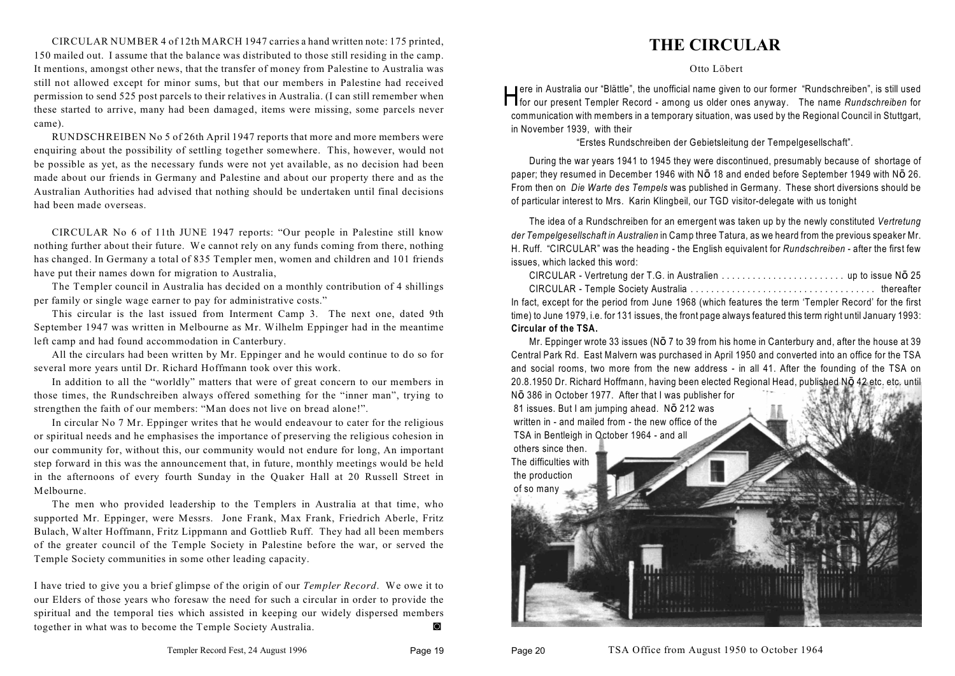CIRCULAR NUMBER 4 of 12th MARCH 1947 carries a hand written note: 175 printed, 150 mailed out. I assume that the balance was distributed to those still residing in the camp. It mentions, amongst other news, that the transfer of money from Palestine to Australia was still not allowed except for minor sums, but that our members in Palestine had received permission to send 525 post parcels to their relatives in Australia. (I can still remember when these started to arrive, many had been damaged, items were missing, some parcels never came).

RUNDSCHREIBEN No 5 of 26th April 1947 reports that more and more members were enquiring about the possibility of settling together somewhere. This, however, would not be possible as yet, as the necessary funds were not yet available, as no decision had been made about our friends in Germany and Palestine and about our property there and as the Australian Authorities had advised that nothing should be undertaken until final decisions had been made overseas.

CIRCULAR No 6 of 11th JUNE 1947 reports: "Our people in Palestine still know nothing further about their future. We cannot rely on any funds coming from there, nothing has changed. In Germany a total of 835 Templer men, women and children and 101 friends have put their names down for migration to Australia,

The Templer council in Australia has decided on a monthly contribution of 4 shillings per family or single wage earner to pay for administrative costs."

This circular is the last issued from Interment Camp 3. The next one, dated 9th September 1947 was written in Melbourne as Mr. Wilhelm Eppinger had in the meantime left camp and had found accommodation in Canterbury.

All the circulars had been written by Mr. Eppinger and he would continue to do so for several more years until Dr. Richard Hoffmann took over this work.

In addition to all the "worldly" matters that were of great concern to our members in those times, the Rundschreiben always offered something for the "inner man", trying to strengthen the faith of our members: "Man does not live on bread alone!".

In circular No 7 Mr. Eppinger writes that he would endeavour to cater for the religious or spiritual needs and he emphasises the importance of preserving the religious cohesion in our community for, without this, our community would not endure for long, An important step forward in this was the announcement that, in future, monthly meetings would be held in the afternoons of every fourth Sunday in the Quaker Hall at 20 Russell Street in Melbourne.

The men who provided leadership to the Templers in Australia at that time, who supported Mr. Eppinger, were Messrs. Jone Frank, Max Frank, Friedrich Aberle, Fritz Bulach, Walter Hoffmann, Fritz Lippmann and Gottlieb Ruff. They had all been members of the greater council of the Temple Society in Palestine before the war, or served the Temple Society communities in some other leading capacity.

I have tried to give you a brief glimpse of the origin of our *Templer Record*. We owe it to our Elders of those years who foresaw the need for such a circular in order to provide the spiritual and the temporal ties which assisted in keeping our widely dispersed members together in what was to become the Temple Society Australia. 4

#### **THE CIRCULAR**

Otto Löbert

ere in Australia our "Blättle", the unofficial name given to our former "Rundschreiben", is still used<br>for our present Templer Record - among us older ones anyway. The name *Rundschreiben* for ere in Australia our "Blättle", the unofficial name given to our former "Rundschreiben", is still used communication with members in a temporary situation, was used by the Regional Council in Stuttgart, in November 1939, with their

"Erstes Rundschreiben der Gebietsleitung der Tempelgesellschaft".

During the war years 1941 to 1945 they were discontinued, presumably because of shortage of paper; they resumed in December 1946 with NO 18 and ended before September 1949 with NO 26. From then on *Die Warte des Tempels* was published in Germany. These short diversions should be of particular interest to Mrs. Karin Klingbeil, our TGD visitor-delegate with us tonight

The idea of a Rundschreiben for an emergent was taken up by the newly constituted *Vertretung der Tempelgesellschaft in Australien* in Camp three Tatura, as we heard from the previous speaker Mr. H. Ruff. "CIRCULAR" was the heading - the English equivalent for *Rundschreiben* - after the first few issues, which lacked this word:

| In fact, except for the period from June 1968 (which features the term 'Templer Record' for the first       |  |
|-------------------------------------------------------------------------------------------------------------|--|
| time) to June 1979, i.e. for 131 issues, the front page always featured this term right until January 1993: |  |
| Circular of the TSA.                                                                                        |  |

Mr. Eppinger wrote 33 issues (NO 7 to 39 from his home in Canterbury and, after the house at 39 Central Park Rd. East Malvern was purchased in April 1950 and converted into an office for the TSA and social rooms, two more from the new address - in all 41. After the founding of the TSA on 20.8.1950 Dr. Richard Hoffmann, having been elected Regional Head, published NO 42 etc. etc. until

NO 386 in October 1977. After that I was publisher for 81 issues. But I am jumping ahead. NO 212 was written in - and mailed from - the new office of the TSA in Bentleigh in October 1964 - and all others since then.

The difficulties with the production of so many

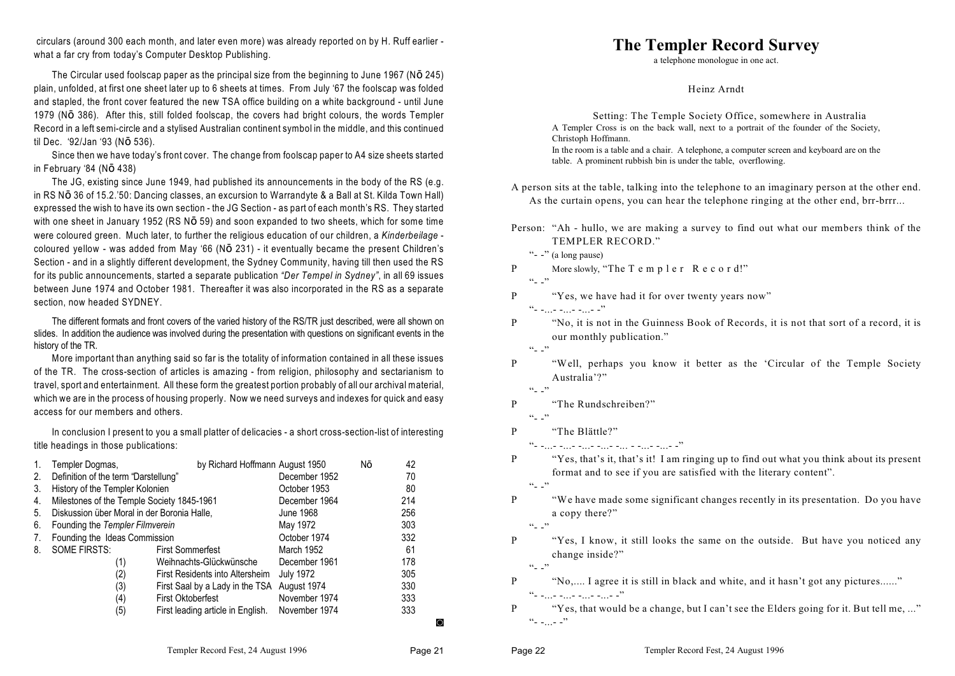circulars (around 300 each month, and later even more) was already reported on by H. Ruff earlier what a far cry from today's Computer Desktop Publishing.

The Circular used foolscap paper as the principal size from the beginning to June 1967 (NO 245) plain, unfolded, at first one sheet later up to 6 sheets at times. From July '67 the foolscap was folded and stapled, the front cover featured the new TSA office building on a white background - until June 1979 (NO 386). After this, still folded foolscap, the covers had bright colours, the words Templer Record in a left semi-circle and a stylised Australian continent symbol in the middle, and this continued til Dec. '92/Jan '93 (NO 536).

Since then we have today's front cover. The change from foolscap paper to A4 size sheets started in February '84 (NO 438)

The JG, existing since June 1949, had published its announcements in the body of the RS (e.g. in RS NO 36 of 15.2.'50: Dancing classes, an excursion to Warrandyte & a Ball at St. Kilda Town Hall) expressed the wish to have its own section - the JG Section - as part of each month's RS. They started with one sheet in January 1952 (RS NO 59) and soon expanded to two sheets, which for some time were coloured green. Much later, to further the religious education of our children, a *Kinderbeilage* coloured yellow - was added from May '66 ( $N\bar{O}$  231) - it eventually became the present Children's Section - and in a slightly different development, the Sydney Community, having till then used the RS for its public announcements, started a separate publication *"Der Tempel in Sydney"*, in all 69 issues between June 1974 and October 1981. Thereafter it was also incorporated in the RS as a separate section, now headed SYDNEY.

The different formats and front covers of the varied history of the RS/TR just described, were all shown on slides. In addition the audience was involved during the presentation with questions on significant events in the history of the TR.

More important than anything said so far is the totality of information contained in all these issues of the TR. The cross-section of articles is amazing - from religion, philosophy and sectarianism to travel, sport and entertainment. All these form the greatest portion probably of all our archival material, which we are in the process of housing properly. Now we need surveys and indexes for quick and easy access for our members and others.

In conclusion I present to you a small platter of delicacies - a short cross-section-list of interesting title headings in those publications:

| 1. | Templer Dogmas,                             | by Richard Hoffmann August 1950   |                  | Nō | 42  |
|----|---------------------------------------------|-----------------------------------|------------------|----|-----|
| 2. | Definition of the term "Darstellung"        |                                   | December 1952    |    | 70  |
| 3. | History of the Templer Kolonien             |                                   | October 1953     |    | 80  |
| 4. | Milestones of the Temple Society 1845-1961  |                                   | December 1964    |    | 214 |
| 5. | Diskussion über Moral in der Boronia Halle, |                                   | June 1968        |    | 256 |
| 6. | Founding the Templer Filmverein             |                                   | May 1972         |    | 303 |
| 7. | Founding the Ideas Commission               |                                   | October 1974     |    | 332 |
| 8. | <b>SOME FIRSTS:</b>                         | <b>First Sommerfest</b>           | March 1952       |    | 61  |
|    | (1)                                         | Weihnachts-Glückwünsche           | December 1961    |    | 178 |
|    | (2)                                         | First Residents into Altersheim   | <b>July 1972</b> |    | 305 |
|    | (3)                                         | First Saal by a Lady in the TSA   | August 1974      |    | 330 |
|    | (4)                                         | <b>First Oktoberfest</b>          | November 1974    |    | 333 |
|    | (5)                                         | First leading article in English. | November 1974    |    | 333 |
|    |                                             |                                   |                  |    | O   |

#### **The Templer Record Survey**

a telephone monologue in one act.

Heinz Arndt

Setting: The Temple Society Office, somewhere in Australia A Templer Cross is on the back wall, next to a portrait of the founder of the Society, Christoph Hoffmann. In the room is a table and a chair. A telephone, a computer screen and keyboard are on the table. A prominent rubbish bin is under the table, overflowing.

- A person sits at the table, talking into the telephone to an imaginary person at the other end. As the curtain opens, you can hear the telephone ringing at the other end, brr-brrr...
- Person: "Ah hullo, we are making a survey to find out what our members think of the TEMPLER RECORD."
	- "- -" (a long pause)

```
P More slowly, "The T e m p l e r R e c o r d!"
```
 $\left( \begin{array}{cc} 1 & 1 \\ 1 & 1 \end{array} \right)$ 

P "Yes, we have had it for over twenty years now"

 $\frac{a_{1}}{b_{1}}$  -...- -...- -"

- P "No, it is not in the Guinness Book of Records, it is not that sort of a record, it is our monthly publication."
	- $\cdots$ ,
- P "Well, perhaps you know it better as the 'Circular of the Temple Society Australia'?"
	- $\left( \cdot \right)$   $\left( \cdot \right)$
- P "The Rundschreiben?"

 $`` - "$ 

P "The Blättle?"

 $\frac{a_1}{b_1}$  -...- -...- -...- -... - -...- -...- -?

- P "Yes, that's it, that's it! I am ringing up to find out what you think about its present format and to see if you are satisfied with the literary content".
	- $``-$ "
- P "We have made some significant changes recently in its presentation. Do you have a copy there?"

 $\cdots$ ,

P "Yes, I know, it still looks the same on the outside. But have you noticed any change inside?"  $\cdots$ ,

P "No,.... I agree it is still in black and white, and it hasn't got any pictures......"  $``-111 - 111 - 111 - 111 - 111$ 

P "Yes, that would be a change, but I can't see the Elders going for it. But tell me, ..."  $"$ -...-  $-$ "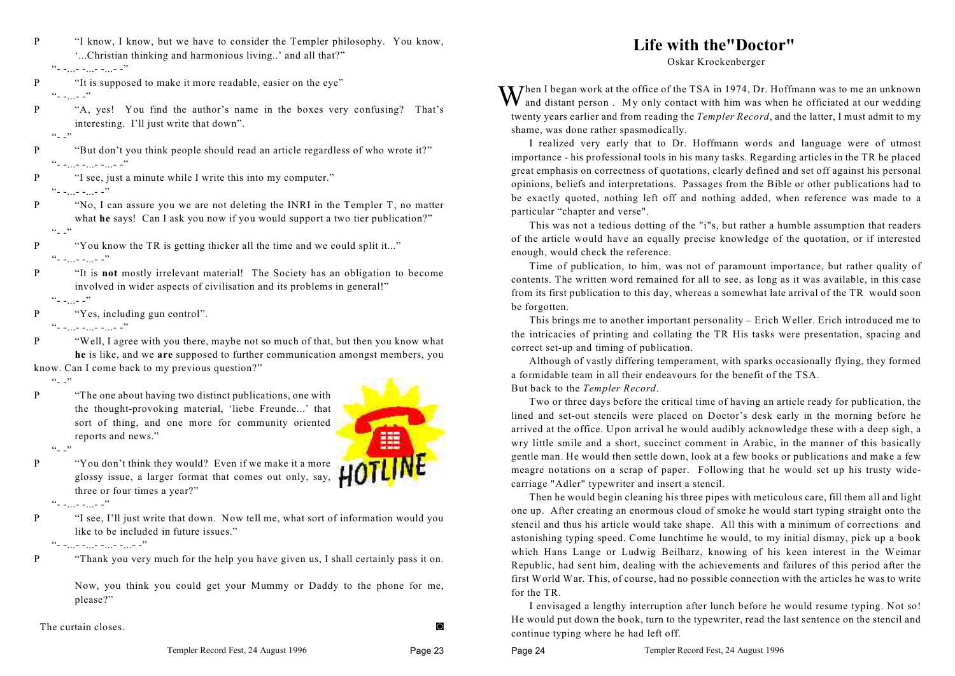| "I know, I know, but we have to consider the Templer philosophy. You know, |  |
|----------------------------------------------------------------------------|--|
| "Christian thinking and harmonious living" and all that?"                  |  |

 $C = 1.1 - 1.1 - 1.1 - 1$ 

- P "It is supposed to make it more readable, easier on the eye"  $\frac{1}{1}$  -...- -"
- P "A, yes! You find the author's name in the boxes very confusing? That's interesting. I'll just write that down".
	- $\left( \begin{array}{cc} 1 & 1 \\ 1 & 1 \end{array} \right)$

P "But don't you think people should read an article regardless of who wrote it?" "- -...- -...- -...- -"

P "I see, just a minute while I write this into my computer."

- $C = 1.1 1.1 1.7$
- P "No, I can assure you we are not deleting the INRI in the Templer T, no matter what **he** says! Can I ask you now if you would support a two tier publication?"
	- $\cdots$   $\cdots$

P "You know the TR is getting thicker all the time and we could split it..."  $"$  - ...- -...- -"

- P "It is **not** mostly irrelevant material! The Society has an obligation to become involved in wider aspects of civilisation and its problems in general!"  $\frac{1}{1}$  -  $\frac{1}{1}$  -  $\frac{1}{1}$   $\frac{1}{1}$
- P "Yes, including gun control".

reports and news."

 $\mathcal{P}_{\text{max}}$  -  $\mathcal{P}_{\text{max}}$  -  $\mathcal{P}_{\text{max}}$ 

P "Well, I agree with you there, maybe not so much of that, but then you know what **he** is like, and we **are** supposed to further communication amongst members, you know. Can I come back to my previous question?"

 $\cdots$ 



- $`` "$
- P "You don't think they would? Even if we make it a more glossy issue, a larger format that comes out only, say, three or four times a year?"

P "The one about having two distinct publications, one with

the thought-provoking material, 'liebe Freunde...' that sort of thing, and one more for community oriented

 $\mu$ <sup>2</sup> -  $\mu$  -  $\mu$  -  $\mu$ <sup>2</sup>

P "I see, I'll just write that down. Now tell me, what sort of information would you like to be included in future issues."

"- -...- -...- -...- -...- -"

P "Thank you very much for the help you have given us, I shall certainly pass it on.

Now, you think you could get your Mummy or Daddy to the phone for me, please?"

The curtain closes **and the curtain closes** 

### **Life with the"Doctor"**

Oskar Krockenberger

When I began work at the office of the TSA in 1974, Dr. Hoffmann was to me an unknown<br>and distant person. My only contact with him was when he officiated at our wedding twenty years earlier and from reading the *Templer Record*, and the latter, I must admit to my shame, was done rather spasmodically.

I realized very early that to Dr. Hoffmann words and language were of utmost importance - his professional tools in his many tasks. Regarding articles in the TR he placed great emphasis on correctness of quotations, clearly defined and set off against his personal opinions, beliefs and interpretations. Passages from the Bible or other publications had to be exactly quoted, nothing left off and nothing added, when reference was made to a particular "chapter and verse".

This was not a tedious dotting of the "i"s, but rather a humble assumption that readers of the article would have an equally precise knowledge of the quotation, or if interested enough, would check the reference.

Time of publication, to him, was not of paramount importance, but rather quality of contents. The written word remained for all to see, as long as it was available, in this case from its first publication to this day, whereas a somewhat late arrival of the TR would soon be forgotten.

This brings me to another important personality – Erich Weller. Erich introduced me to the intricacies of printing and collating the TR His tasks were presentation, spacing and correct set-up and timing of publication.

Although of vastly differing temperament, with sparks occasionally flying, they formed a formidable team in all their endeavours for the benefit of the TSA. But back to the *Templer Record*.

Two or three days before the critical time of having an article ready for publication, the lined and set-out stencils were placed on Doctor's desk early in the morning before he arrived at the office. Upon arrival he would audibly acknowledge these with a deep sigh, a wry little smile and a short, succinct comment in Arabic, in the manner of this basically gentle man. He would then settle down, look at a few books or publications and make a few meagre notations on a scrap of paper. Following that he would set up his trusty widecarriage "Adler" typewriter and insert a stencil.

Then he would begin cleaning his three pipes with meticulous care, fill them all and light one up. After creating an enormous cloud of smoke he would start typing straight onto the stencil and thus his article would take shape. All this with a minimum of corrections and astonishing typing speed. Come lunchtime he would, to my initial dismay, pick up a book which Hans Lange or Ludwig Beilharz, knowing of his keen interest in the Weimar Republic, had sent him, dealing with the achievements and failures of this period after the first World War. This, of course, had no possible connection with the articles he was to write for the TR.

I envisaged a lengthy interruption after lunch before he would resume typing. Not so! He would put down the book, turn to the typewriter, read the last sentence on the stencil and continue typing where he had left off.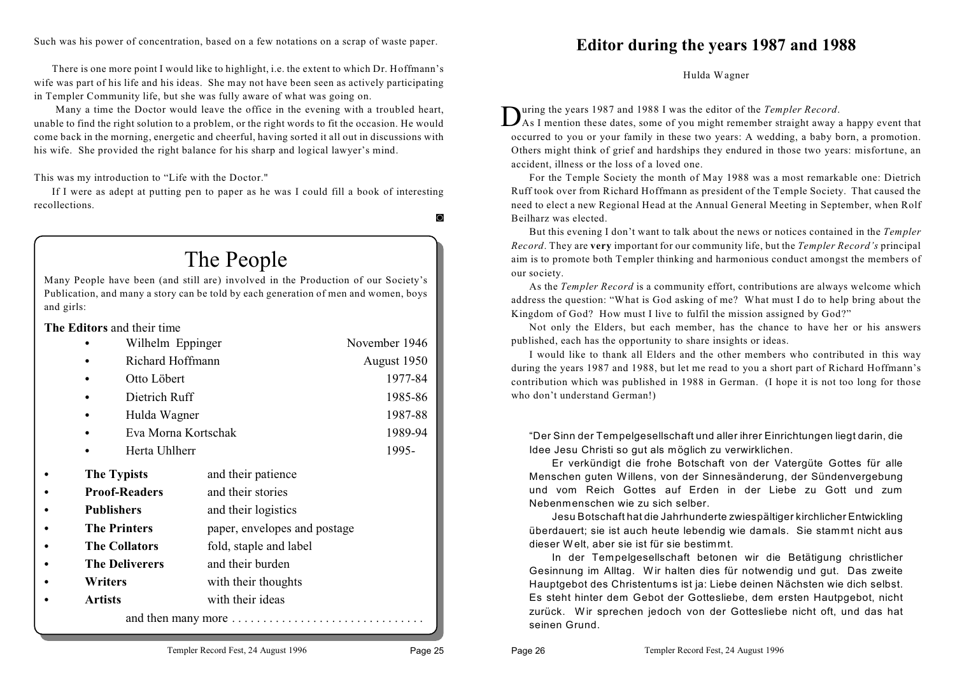Such was his power of concentration, based on a few notations on a scrap of waste paper.

There is one more point I would like to highlight, i.e. the extent to which Dr. Hoffmann's wife was part of his life and his ideas. She may not have been seen as actively participating in Templer Community life, but she was fully aware of what was going on.

 Many a time the Doctor would leave the office in the evening with a troubled heart, unable to find the right solution to a problem, or the right words to fit the occasion. He would come back in the morning, energetic and cheerful, having sorted it all out in discussions with his wife. She provided the right balance for his sharp and logical lawyer's mind.

This was my introduction to "Life with the Doctor."

If I were as adept at putting pen to paper as he was I could fill a book of interesting recollections.

 $\circ$ 

## The People

Many People have been (and still are) involved in the Production of our Society's Publication, and many a story can be told by each generation of men and women, boys and girls:

**The Editors** and their time

|                | Wilhelm Eppinger      | November 1946                |             |
|----------------|-----------------------|------------------------------|-------------|
|                | Richard Hoffmann      |                              | August 1950 |
|                | Otto Löbert           |                              | 1977-84     |
|                | Dietrich Ruff         |                              | 1985-86     |
|                | Hulda Wagner          |                              | 1987-88     |
|                | Eva Morna Kortschak   |                              | 1989-94     |
|                | Herta Uhlherr         |                              | 1995-       |
|                | <b>The Typists</b>    | and their patience           |             |
|                | <b>Proof-Readers</b>  | and their stories            |             |
|                | <b>Publishers</b>     | and their logistics          |             |
|                | <b>The Printers</b>   | paper, envelopes and postage |             |
|                | <b>The Collators</b>  | fold, staple and label       |             |
|                | <b>The Deliverers</b> | and their burden             |             |
| Writers        |                       | with their thoughts          |             |
| <b>Artists</b> |                       | with their ideas             |             |
|                |                       | and then many more           |             |

**Editor during the years 1987 and 1988**

Hulda Wagner

uring the years 1987 and 1988 I was the editor of the *Templer Record*.

Unity of the years 1987 and 1988 I was the editor of the *Templer Record*.<br>As I mention these dates, some of you might remember straight away a happy event that occurred to you or your family in these two years: A wedding, a baby born, a promotion. Others might think of grief and hardships they endured in those two years: misfortune, an accident, illness or the loss of a loved one.

For the Temple Society the month of May 1988 was a most remarkable one: Dietrich Ruff took over from Richard Hoffmann as president of the Temple Society. That caused the need to elect a new Regional Head at the Annual General Meeting in September, when Rolf Beilharz was elected.

But this evening I don't want to talk about the news or notices contained in the *Templer Record*. They are **very** important for our community life, but the *Templer Record's* principal aim is to promote both Templer thinking and harmonious conduct amongst the members of our society.

As the *Templer Record* is a community effort, contributions are always welcome which address the question: "What is God asking of me? What must I do to help bring about the Kingdom of God? How must I live to fulfil the mission assigned by God?"

Not only the Elders, but each member, has the chance to have her or his answers published, each has the opportunity to share insights or ideas.

I would like to thank all Elders and the other members who contributed in this way during the years 1987 and 1988, but let me read to you a short part of Richard Hoffmann's contribution which was published in 1988 in German. (I hope it is not too long for those who don't understand German!)

"Der Sinn der Tempelgesellschaft und aller ihrer Einrichtungen liegt darin, die Idee Jesu Christi so gut als möglich zu verwirklichen.

Er verkündigt die frohe Botschaft von der Vatergüte Gottes für alle Menschen guten Willens, von der Sinnesänderung, der Sündenvergebung und vom Reich Gottes auf Erden in der Liebe zu Gott und zum Nebenmenschen wie zu sich selber.

Jesu Botschaft hat die Jahrhunderte zwiespältiger kirchlicher Entwickling überdauert; sie ist auch heute lebendig wie damals. Sie stammt nicht aus dieser W elt, aber sie ist für sie bestimmt.

In der Tempelgesellschaft betonen wir die Betätigung christlicher Gesinnung im Alltag. W ir halten dies für notwendig und gut. Das zweite Hauptgebot des Christentums ist ja: Liebe deinen Nächsten wie dich selbst. Es steht hinter dem Gebot der Gottesliebe, dem ersten Hautpgebot, nicht zurück. Wir sprechen jedoch von der Gottesliebe nicht oft, und das hat seinen Grund.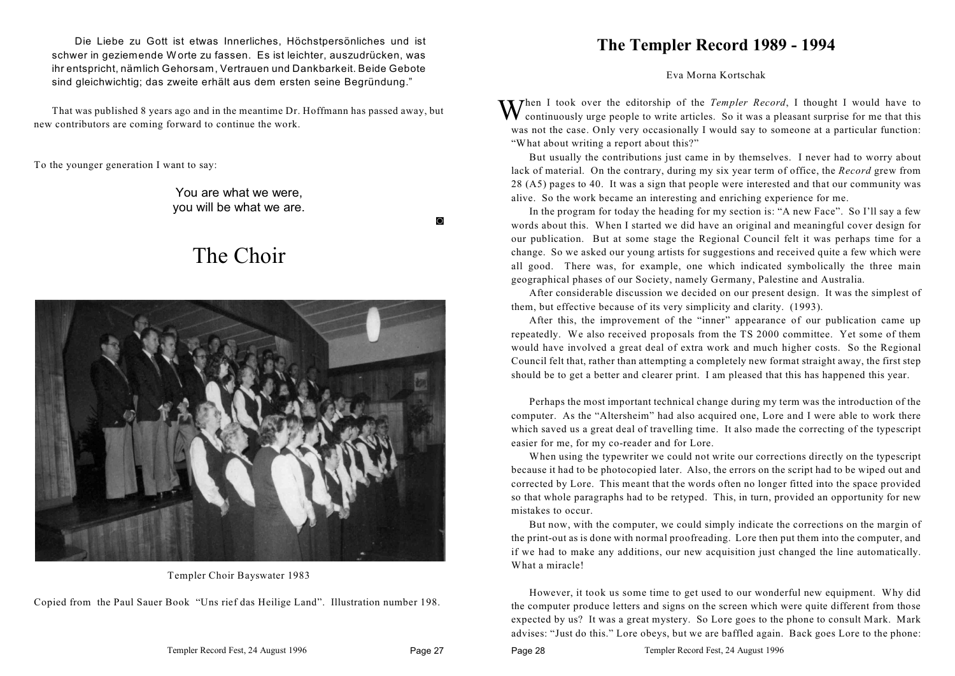Die Liebe zu Gott ist etwas Innerliches, Höchstpersönliches und ist schwer in geziemende W orte zu fassen. Es ist leichter, auszudrücken, was ihr entspricht, nämlich Gehorsam, Vertrauen und Dankbarkeit. Beide Gebote sind gleichwichtig; das zweite erhält aus dem ersten seine Begründung."

That was published 8 years ago and in the meantime Dr. Hoffmann has passed away, but new contributors are coming forward to continue the work.

To the younger generation I want to say:

You are what we were, you will be what we are.

 $\Omega$ 

## The Choir



Templer Choir Bayswater 1983

Copied from the Paul Sauer Book "Uns rief das Heilige Land". Illustration number 198.

#### **The Templer Record 1989 - 1994**

Eva Morna Kortschak

When I took over the editorship of the *Templer Record*, I thought I would have to continuously urge people to write articles. So it was a pleasant surprise for me that this was not the case. Only very occasionally I would say to someone at a particular function: "What about writing a report about this?"

But usually the contributions just came in by themselves. I never had to worry about lack of material. On the contrary, during my six year term of office, the *Record* grew from 28 (A5) pages to 40. It was a sign that people were interested and that our community was alive. So the work became an interesting and enriching experience for me.

In the program for today the heading for my section is: "A new Face". So I'll say a few words about this. When I started we did have an original and meaningful cover design for our publication. But at some stage the Regional Council felt it was perhaps time for a change. So we asked our young artists for suggestions and received quite a few which were all good. There was, for example, one which indicated symbolically the three main geographical phases of our Society, namely Germany, Palestine and Australia.

After considerable discussion we decided on our present design. It was the simplest of them, but effective because of its very simplicity and clarity. (1993).

After this, the improvement of the "inner" appearance of our publication came up repeatedly. We also received proposals from the TS 2000 committee. Yet some of them would have involved a great deal of extra work and much higher costs. So the Regional Council felt that, rather than attempting a completely new format straight away, the first step should be to get a better and clearer print. I am pleased that this has happened this year.

Perhaps the most important technical change during my term was the introduction of the computer. As the "Altersheim" had also acquired one, Lore and I were able to work there which saved us a great deal of travelling time. It also made the correcting of the typescript easier for me, for my co-reader and for Lore.

When using the typewriter we could not write our corrections directly on the typescript because it had to be photocopied later. Also, the errors on the script had to be wiped out and corrected by Lore. This meant that the words often no longer fitted into the space provided so that whole paragraphs had to be retyped. This, in turn, provided an opportunity for new mistakes to occur.

But now, with the computer, we could simply indicate the corrections on the margin of the print-out as is done with normal proofreading. Lore then put them into the computer, and if we had to make any additions, our new acquisition just changed the line automatically. What a miracle!

However, it took us some time to get used to our wonderful new equipment. Why did the computer produce letters and signs on the screen which were quite different from those expected by us? It was a great mystery. So Lore goes to the phone to consult Mark. Mark advises: "Just do this." Lore obeys, but we are baffled again. Back goes Lore to the phone: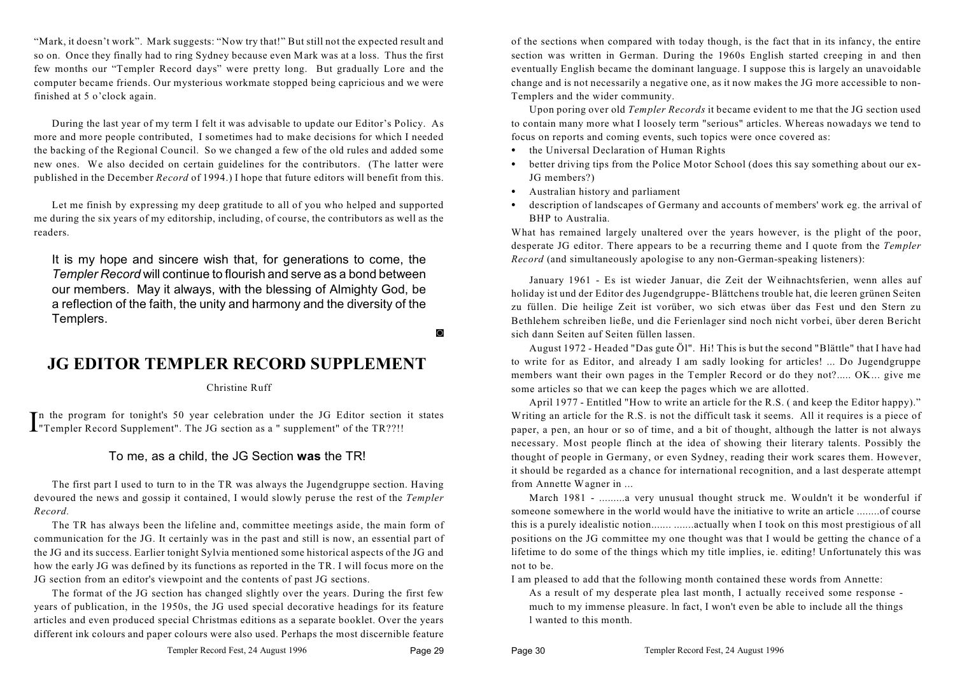"Mark, it doesn't work". Mark suggests: "Now try that!" But still not the expected result and so on. Once they finally had to ring Sydney because even Mark was at a loss. Thus the first few months our "Templer Record days" were pretty long. But gradually Lore and the computer became friends. Our mysterious workmate stopped being capricious and we were finished at 5 o'clock again.

During the last year of my term I felt it was advisable to update our Editor's Policy. As more and more people contributed, I sometimes had to make decisions for which I needed the backing of the Regional Council. So we changed a few of the old rules and added some new ones. We also decided on certain guidelines for the contributors. (The latter were published in the December *Record* of 1994.) I hope that future editors will benefit from this.

Let me finish by expressing my deep gratitude to all of you who helped and supported me during the six years of my editorship, including, of course, the contributors as well as the readers.

It is my hope and sincere wish that, for generations to come, the *Templer Record* will continue to flourish and serve as a bond between our members. May it always, with the blessing of Almighty God, be a reflection of the faith, the unity and harmony and the diversity of the Templers.

 $\circ$ 

#### **JG EDITOR TEMPLER RECORD SUPPLEMENT**

Christine Ruff

In the program for tonight's 50 year celebration under the JG Editor section I"Templer Record Supplement". The JG section as a " supplement" of the TR??!! n the program for tonight's 50 year celebration under the JG Editor section it states

#### To me, as a child, the JG Section **was** the TR!

The first part I used to turn to in the TR was always the Jugendgruppe section. Having devoured the news and gossip it contained, I would slowly peruse the rest of the *Templer Record.* 

The TR has always been the lifeline and, committee meetings aside, the main form of communication for the JG. It certainly was in the past and still is now, an essential part of the JG and its success. Earlier tonight Sylvia mentioned some historical aspects of the JG and how the early JG was defined by its functions as reported in the TR. I will focus more on the JG section from an editor's viewpoint and the contents of past JG sections.

The format of the JG section has changed slightly over the years. During the first few years of publication, in the 1950s, the JG used special decorative headings for its feature articles and even produced special Christmas editions as a separate booklet. Over the years different ink colours and paper colours were also used. Perhaps the most discernible feature of the sections when compared with today though, is the fact that in its infancy, the entire section was written in German. During the 1960s English started creeping in and then eventually English became the dominant language. I suppose this is largely an unavoidable change and is not necessarily a negative one, as it now makes the JG more accessible to non-Templers and the wider community.

Upon poring over old *Templer Records* it became evident to me that the JG section used to contain many more what I loosely term "serious" articles. Whereas nowadays we tend to focus on reports and coming events, such topics were once covered as:

- the Universal Declaration of Human Rights
- better driving tips from the Police Motor School (does this say something about our ex-JG members?)
- Australian history and parliament
- description of landscapes of Germany and accounts of members' work eg. the arrival of BHP to Australia.

What has remained largely unaltered over the years however, is the plight of the poor, desperate JG editor. There appears to be a recurring theme and I quote from the *Templer Record* (and simultaneously apologise to any non-German-speaking listeners):

January 1961 - Es ist wieder Januar, die Zeit der Weihnachtsferien, wenn alles auf holiday ist und der Editor des Jugendgruppe- Blättchens trouble hat, die leeren grünen Seiten zu füllen. Die heilige Zeit ist vorüber, wo sich etwas über das Fest und den Stern zu Bethlehem schreiben ließe, und die Ferienlager sind noch nicht vorbei, über deren Bericht sich dann Seiten auf Seiten füllen lassen.

August 1972 - Headed "Das gute Öl". Hi! This is but the second "Blättle" that I have had to write for as Editor, and already I am sadly looking for articles! ... Do Jugendgruppe members want their own pages in the Templer Record or do they not?..... OK... give me some articles so that we can keep the pages which we are allotted.

April 1977 - Entitled "How to write an article for the R.S. ( and keep the Editor happy)." Writing an article for the R.S. is not the difficult task it seems. All it requires is a piece of paper, a pen, an hour or so of time, and a bit of thought, although the latter is not always necessary. Most people flinch at the idea of showing their literary talents. Possibly the thought of people in Germany, or even Sydney, reading their work scares them. However, it should be regarded as a chance for international recognition, and a last desperate attempt from Annette Wagner in ...

March 1981 - .........a very unusual thought struck me. Wouldn't it be wonderful if someone somewhere in the world would have the initiative to write an article ........of course this is a purely idealistic notion....... .......actually when I took on this most prestigious of all positions on the JG committee my one thought was that I would be getting the chance of a lifetime to do some of the things which my title implies, ie. editing! Unfortunately this was not to be.

I am pleased to add that the following month contained these words from Annette:

As a result of my desperate plea last month, I actually received some response much to my immense pleasure. ln fact, I won't even be able to include all the things l wanted to this month.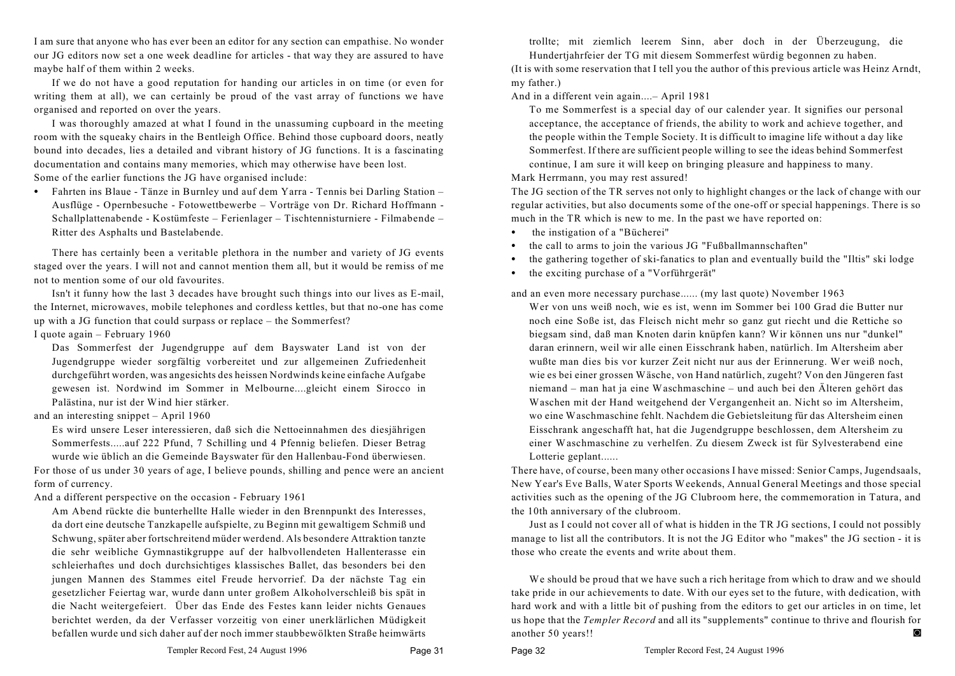I am sure that anyone who has ever been an editor for any section can empathise. No wonder our JG editors now set a one week deadline for articles - that way they are assured to have maybe half of them within 2 weeks.

If we do not have a good reputation for handing our articles in on time (or even for writing them at all), we can certainly be proud of the vast array of functions we have organised and reported on over the years.

I was thoroughly amazed at what I found in the unassuming cupboard in the meeting room with the squeaky chairs in the Bentleigh Office. Behind those cupboard doors, neatly bound into decades, lies a detailed and vibrant history of JG functions. It is a fascinating documentation and contains many memories, which may otherwise have been lost. Some of the earlier functions the JG have organised include:

• Fahrten ins Blaue - Tänze in Burnley und auf dem Yarra - Tennis bei Darling Station – Ausflüge - Opernbesuche - Fotowettbewerbe – Vorträge von Dr. Richard Hoffmann - Schallplattenabende - Kostümfeste – Ferienlager – Tischtennisturniere - Filmabende – Ritter des Asphalts und Bastelabende.

There has certainly been a veritable plethora in the number and variety of JG events staged over the years. I will not and cannot mention them all, but it would be remiss of me not to mention some of our old favourites.

Isn't it funny how the last 3 decades have brought such things into our lives as E-mail, the Internet, microwaves, mobile telephones and cordless kettles, but that no-one has come up with a JG function that could surpass or replace – the Sommerfest?

#### I quote again – February 1960

Das Sommerfest der Jugendgruppe auf dem Bayswater Land ist von der Jugendgruppe wieder sorgfältig vorbereitet und zur allgemeinen Zufriedenheit durchgeführt worden, was angesichts des heissen Nordwinds keine einfache Aufgabe gewesen ist. Nordwind im Sommer in Melbourne....gleicht einem Sirocco in Palästina, nur ist der Wind hier stärker.

and an interesting snippet – April 1960

Es wird unsere Leser interessieren, daß sich die Nettoeinnahmen des diesjährigen Sommerfests.....auf 222 Pfund, 7 Schilling und 4 Pfennig beliefen. Dieser Betrag wurde wie üblich an die Gemeinde Bayswater für den Hallenbau-Fond überwiesen. For those of us under 30 years of age, I believe pounds, shilling and pence were an ancient form of currency.

And a different perspective on the occasion - February 1961

Am Abend rückte die bunterhellte Halle wieder in den Brennpunkt des Interesses, da dort eine deutsche Tanzkapelle aufspielte, zu Beginn mit gewaltigem Schmiß und Schwung, später aber fortschreitend müder werdend. Als besondere Attraktion tanzte die sehr weibliche Gymnastikgruppe auf der halbvollendeten Hallenterasse ein schleierhaftes und doch durchsichtiges klassisches Ballet, das besonders bei den jungen Mannen des Stammes eitel Freude hervorrief. Da der nächste Tag ein gesetzlicher Feiertag war, wurde dann unter großem Alkoholverschleiß bis spät in die Nacht weitergefeiert. Über das Ende des Festes kann leider nichts Genaues berichtet werden, da der Verfasser vorzeitig von einer unerklärlichen Müdigkeit befallen wurde und sich daher auf der noch immer staubbewölkten Straße heimwärts trollte; mit ziemlich leerem Sinn, aber doch in der Überzeugung, die Hundertjahrfeier der TG mit diesem Sommerfest würdig begonnen zu haben.

(It is with some reservation that I tell you the author of this previous article was Heinz Arndt, my father.)

And in a different vein again....– April 1981

To me Sommerfest is a special day of our calender year. It signifies our personal acceptance, the acceptance of friends, the ability to work and achieve together, and the people within the Temple Society. It is difficult to imagine life without a day like Sommerfest. If there are sufficient people willing to see the ideas behind Sommerfest continue, I am sure it will keep on bringing pleasure and happiness to many.

Mark Herrmann, you may rest assured!

The JG section of the TR serves not only to highlight changes or the lack of change with our regular activities, but also documents some of the one-off or special happenings. There is so much in the TR which is new to me. In the past we have reported on:

- the instigation of a "Bücherei"
- C the call to arms to join the various JG "Fußballmannschaften"
- C the gathering together of ski-fanatics to plan and eventually build the "Iltis" ski lodge
- the exciting purchase of a "Vorführgerät"

and an even more necessary purchase...... (my last quote) November 1963

Wer von uns weiß noch, wie es ist, wenn im Sommer bei 100 Grad die Butter nur noch eine Soße ist, das Fleisch nicht mehr so ganz gut riecht und die Rettiche so biegsam sind, daß man Knoten darin knüpfen kann? Wir können uns nur "dunkel" daran erinnern, weil wir alle einen Eisschrank haben, natürlich. Im Altersheim aber wußte man dies bis vor kurzer Zeit nicht nur aus der Erinnerung. Wer weiß noch, wie es bei einer grossen Wäsche, von Hand natürlich, zugeht? Von den Jüngeren fast niemand – man hat ja eine Waschmaschine – und auch bei den Älteren gehört das Waschen mit der Hand weitgehend der Vergangenheit an. Nicht so im Altersheim, wo eine Waschmaschine fehlt. Nachdem die Gebietsleitung für das Altersheim einen Eisschrank angeschafft hat, hat die Jugendgruppe beschlossen, dem Altersheim zu einer Waschmaschine zu verhelfen. Zu diesem Zweck ist für Sylvesterabend eine Lotterie geplant......

There have, of course, been many other occasions I have missed: Senior Camps, Jugendsaals, New Year's Eve Balls, Water Sports Weekends, Annual General Meetings and those special activities such as the opening of the JG Clubroom here, the commemoration in Tatura, and the 10th anniversary of the clubroom.

Just as I could not cover all of what is hidden in the TR JG sections, I could not possibly manage to list all the contributors. It is not the JG Editor who "makes" the JG section - it is those who create the events and write about them.

We should be proud that we have such a rich heritage from which to draw and we should take pride in our achievements to date. With our eyes set to the future, with dedication, with hard work and with a little bit of pushing from the editors to get our articles in on time, let us hope that the *Templer Record* and all its "supplements" continue to thrive and flourish for another 50 years!!

Page 32 Templer Record Fest, 24 August 1996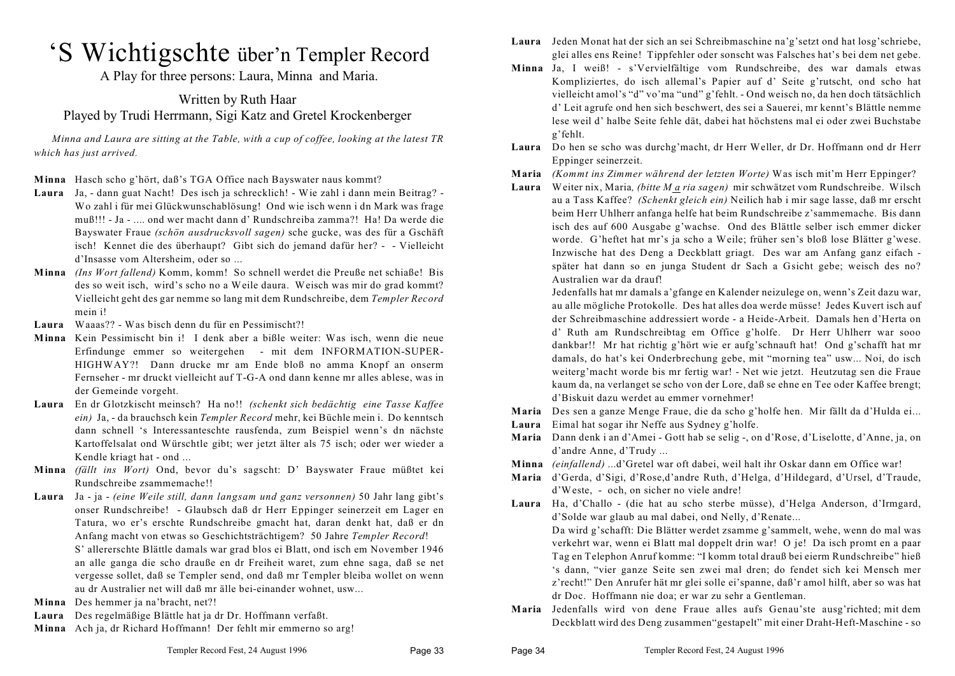## 'S Wichtigschte über'n Templer Record

A Play for three persons: Laura, Minna and Maria.

#### Written by Ruth Haar Played by Trudi Herrmann, Sigi Katz and Gretel Krockenberger

*Minna and Laura are sitting at the Table, with a cup of coffee, looking at the latest TR which has just arrived.* 

- **Minna** Hasch scho g'hört, daß's TGA Office nach Bayswater naus kommt?
- **Laura** Ja, dann guat Nacht! Des isch ja schrecklich! Wie zahl i dann mein Beitrag? Wo zahl i für mei Glückwunschablösung! Ond wie isch wenn i dn Mark was frage muß!!! - Ja - .... ond wer macht dann d' Rundschreiba zamma?! Ha! Da werde die Bayswater Fraue *(schön ausdrucksvoll sagen)* sche gucke, was des für a Gschäft isch! Kennet die des überhaupt? Gibt sich do jemand dafür her? - - Vielleicht d'Insasse vom Altersheim, oder so ...
- **Minna** *(Ins Wort fallend)* Komm, komm! So schnell werdet die Preuße net schiaße! Bis des so weit isch, wird's scho no a Weile daura. Weisch was mir do grad kommt? Vielleicht geht des gar nemme so lang mit dem Rundschreibe, dem *Templer Record* mein i!
- **Laura** Waaas?? Was bisch denn du für en Pessimischt?!
- **Minna** Kein Pessimischt bin i! I denk aber a bißle weiter: Was isch, wenn die neue Erfindunge emmer so weitergehen - mit dem INFORMATION-SUPER-HIGHWAY?! Dann drucke mr am Ende bloß no amma Knopf an onserm Fernseher - mr druckt vielleicht auf T-G-A ond dann kenne mr alles ablese, was in der Gemeinde vorgeht.
- **Laura** En dr Glotzkischt meinsch? Ha no!! *(schenkt sich bedächtig eine Tasse Kaffee ein)* Ja, - da brauchsch kein *Templer Record* mehr, kei Büchle mein i. Do kenntsch dann schnell 's Interessanteschte rausfenda, zum Beispiel wenn's dn nächste Kartoffelsalat ond Würschtle gibt; wer jetzt älter als 75 isch; oder wer wieder a Kendle kriagt hat - ond ...
- **Minna** *(fällt ins Wort)* Ond, bevor du's sagscht: D' Bayswater Fraue müßtet kei Rundschreibe zsammemache!!
- **Laura** Ja ja *(eine Weile still, dann langsam und ganz versonnen)* 50 Jahr lang gibt's onser Rundschreibe! - Glaubsch daß dr Herr Eppinger seinerzeit em Lager en Tatura, wo er's erschte Rundschreibe gmacht hat, daran denkt hat, daß er dn Anfang macht von etwas so Geschichtsträchtigem? 50 Jahre *Templer Record*!

S' allererschte Blättle damals war grad blos ei Blatt, ond isch em November 1946 an alle ganga die scho drauße en dr Freiheit waret, zum ehne saga, daß se net vergesse sollet, daß se Templer send, ond daß mr Templer bleiba wollet on wenn au dr Australier net will daß mr älle bei-einander wohnet, usw...

**Minna** Des hemmer ja na'bracht, net?!

- **Laura** Des regelmäßige Blättle hat ja dr Dr. Hoffmann verfaßt.
- **Minna** Ach ja, dr Richard Hoffmann! Der fehlt mir emmerno so arg!
- **Laura** Jeden Monat hat der sich an sei Schreibmaschine na'g'setzt ond hat losg'schriebe, glei alles ens Reine! Tippfehler oder sonscht was Falsches hat's bei dem net gebe.
- **Minna** Ja, I weiß! s'Vervielfältige vom Rundschreibe, des war damals etwas Kompliziertes, do isch allemal's Papier auf d' Seite g'rutscht, ond scho hat vielleicht amol's "d" vo'ma "und" g'fehlt. - Ond weisch no, da hen doch tätsächlich d' Leit agrufe ond hen sich beschwert, des sei a Sauerei, mr kennt's Blättle nemme lese weil d' halbe Seite fehle dät, dabei hat höchstens mal ei oder zwei Buchstabe g'fehlt.
- **Laura** Do hen se scho was durchg'macht, dr Herr Weller, dr Dr. Hoffmann ond dr Herr Eppinger seinerzeit.
- **Maria** *(Kommt ins Zimmer während der letzten Worte)* Was isch mit'm Herr Eppinger?
- **Laura** Weiter nix, Maria*, (bitte M a ria sagen)* mir schwätzet vom Rundschreibe. Wilsch au a Tass Kaffee? *(Schenkt gleich ein)* Neilich hab i mir sage lasse, daß mr erscht beim Herr Uhlherr anfanga helfe hat beim Rundschreibe z'sammemache. Bis dann isch des auf 600 Ausgabe g'wachse. Ond des Blättle selber isch emmer dicker worde. G'heftet hat mr's ja scho a Weile; früher sen's bloß lose Blätter g'wese. Inzwische hat des Deng a Deckblatt griagt. Des war am Anfang ganz eifach später hat dann so en junga Student dr Sach a Gsicht gebe; weisch des no? Australien war da drauf!

Jedenfalls hat mr damals a'gfange en Kalender neizulege on, wenn's Zeit dazu war, au alle mögliche Protokolle. Des hat alles doa werde müsse! Jedes Kuvert isch auf der Schreibmaschine addressiert worde - a Heide-Arbeit. Damals hen d'Herta on d' Ruth am Rundschreibtag em Office g'holfe. Dr Herr Uhlherr war sooo dankbar!! Mr hat richtig g'hört wie er aufg'schnauft hat! Ond g'schafft hat mr damals, do hat's kei Onderbrechung gebe, mit "morning tea" usw... Noi, do isch weiterg'macht worde bis mr fertig war! - Net wie jetzt. Heutzutag sen die Fraue kaum da, na verlanget se scho von der Lore, daß se ehne en Tee oder Kaffee brengt; d'Biskuit dazu werdet au emmer vornehmer!

- **Maria** Des sen a ganze Menge Fraue, die da scho g'holfe hen. Mir fällt da d'Hulda ei...
- **Laura** Eimal hat sogar ihr Neffe aus Sydney g'holfe.
- **Maria** Dann denk i an d'Amei Gott hab se selig -, on d'Rose, d'Liselotte, d'Anne, ja, on d'andre Anne, d'Trudy ...
- **Minna** *(einfallend)* ...d'Gretel war oft dabei, weil halt ihr Oskar dann em Office war!
- **Maria** d'Gerda, d'Sigi, d'Rose,d'andre Ruth, d'Helga, d'Hildegard, d'Ursel, d'Traude, d'Weste, - och, on sicher no viele andre!

**Laura** Ha, d'Challo - (die hat au scho sterbe müsse), d'Helga Anderson, d'Irmgard, d'Solde war glaub au mal dabei, ond Nelly, d'Renate... Da wird g'schafft: Die Blätter werdet zsamme g'sammelt, wehe, wenn do mal was verkehrt war, wenn ei Blatt mal doppelt drin war! O je! Da isch promt en a paar Tag en Telephon Anruf komme: "I komm total drauß bei eierm Rundschreibe" hieß 's dann, "vier ganze Seite sen zwei mal dren; do fendet sich kei Mensch mer z'recht!" Den Anrufer hät mr glei solle ei'spanne, daß'r amol hilft, aber so was hat dr Doc. Hoffmann nie doa; er war zu sehr a Gentleman.

**Maria** Jedenfalls wird von dene Fraue alles aufs Genau'ste ausg'richted; mit dem Deckblatt wird des Deng zusammen"gestapelt" mit einer Draht-Heft-Maschine - so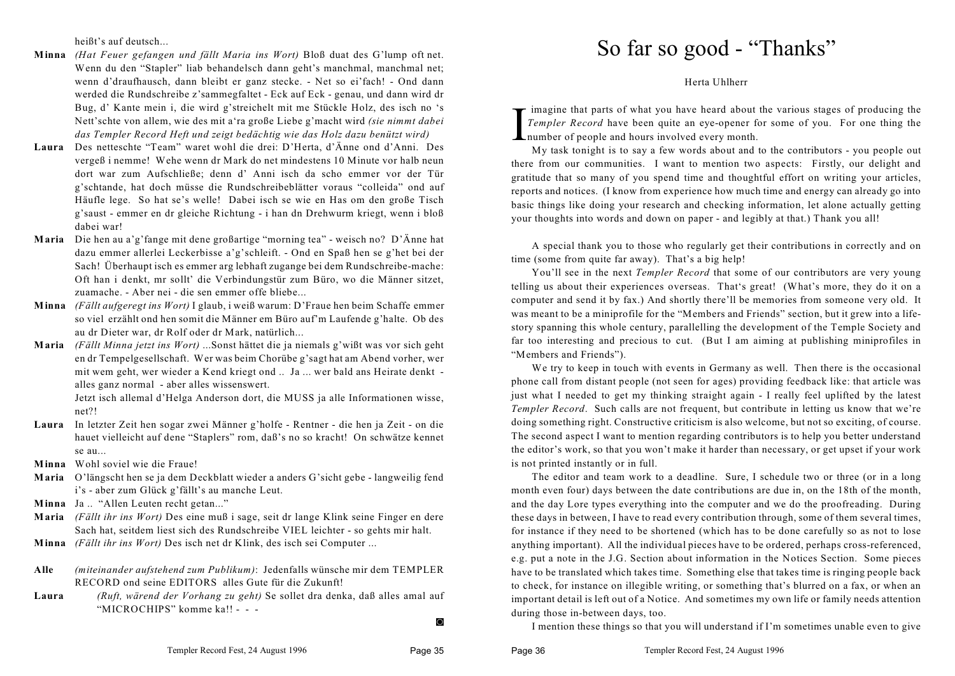heißt's auf deutsch...

- **Minna** *(Hat Feuer gefangen und fällt Maria ins Wort)* Bloß duat des G'lump oft net. Wenn du den "Stapler" liab behandelsch dann geht's manchmal, manchmal net; wenn d'draufhausch, dann bleibt er ganz stecke. - Net so ei'fach! - Ond dann werded die Rundschreibe z'sammegfaltet - Eck auf Eck - genau, und dann wird dr Bug, d' Kante mein i, die wird g'streichelt mit me Stückle Holz, des isch no 's Nett'schte von allem, wie des mit a'ra große Liebe g'macht wird *(sie nimmt dabei das Templer Record Heft und zeigt bedächtig wie das Holz dazu benützt wird)*
- **Laura** Des netteschte "Team" waret wohl die drei: D'Herta, d'Änne ond d'Anni. Des vergeß i nemme! Wehe wenn dr Mark do net mindestens 10 Minute vor halb neun dort war zum Aufschließe; denn d' Anni isch da scho emmer vor der Tür g'schtande, hat doch müsse die Rundschreibeblätter voraus "colleida" ond auf Häufle lege. So hat se's welle! Dabei isch se wie en Has om den große Tisch g'saust - emmer en dr gleiche Richtung - i han dn Drehwurm kriegt, wenn i bloß dabei war!
- **Maria** Die hen au a'g'fange mit dene großartige "morning tea" weisch no? D'Änne hat dazu emmer allerlei Leckerbisse a'g'schleift. - Ond en Spaß hen se g'het bei der Sach! Überhaupt isch es emmer arg lebhaft zugange bei dem Rundschreibe-mache: Oft han i denkt, mr sollt' die Verbindungstür zum Büro, wo die Männer sitzet, zuamache. - Aber nei - die sen emmer offe bliebe...
- **Minna** *(Fällt aufgeregt ins Wort)* I glaub, i weiß warum: D'Fraue hen beim Schaffe emmer so viel erzählt ond hen somit die Männer em Büro auf'm Laufende g'halte. Ob des au dr Dieter war, dr Rolf oder dr Mark, natürlich...
- **Maria** *(Fällt Minna jetzt ins Wort)* ...Sonst hättet die ja niemals g'wißt was vor sich geht en dr Tempelgesellschaft. Wer was beim Chorübe g'sagt hat am Abend vorher, wer mit wem geht, wer wieder a Kend kriegt ond .. Ja ... wer bald ans Heirate denkt alles ganz normal - aber alles wissenswert.

Jetzt isch allemal d'Helga Anderson dort, die MUSS ja alle Informationen wisse, net?!

- **Laura** In letzter Zeit hen sogar zwei Männer g'holfe Rentner die hen ja Zeit on die hauet vielleicht auf dene "Staplers" rom, daß's no so kracht! On schwätze kennet se au...
- **Minna** Wohl soviel wie die Fraue!
- **Maria** O'längscht hen se ja dem Deckblatt wieder a anders G'sicht gebe langweilig fend i's - aber zum Glück g'fällt's au manche Leut.
- **Minna** Ja .. "Allen Leuten recht getan..."
- **Maria** *(Fällt ihr ins Wort)* Des eine muß i sage, seit dr lange Klink seine Finger en dere Sach hat, seitdem liest sich des Rundschreibe VIEL leichter - so gehts mir halt.
- **Minna** *(Fällt ihr ins Wort)* Des isch net dr Klink, des isch sei Computer ...
- **Alle** *(miteinander aufstehend zum Publikum)*: Jedenfalls wünsche mir dem TEMPLER RECORD ond seine EDITORS alles Gute für die Zukunft!
- **Laura** *(Ruft, wärend der Vorhang zu geht)* Se sollet dra denka, daß alles amal auf "MICROCHIPS" komme ka!! - - -

#### $\circ$

Herta Uhlherr

I imagine that parts of what you have heard about<br>
Templer Record have been quite an eye-opener fr<br>
number of people and hours involved every month.<br>
My task tonight is to say a few words about and imagine that parts of what you have heard about the various stages of producing the *Templer Record* have been quite an eye-opener for some of you. For one thing the

My task tonight is to say a few words about and to the contributors - you people out there from our communities. I want to mention two aspects: Firstly, our delight and gratitude that so many of you spend time and thoughtful effort on writing your articles, reports and notices. (I know from experience how much time and energy can already go into basic things like doing your research and checking information, let alone actually getting your thoughts into words and down on paper - and legibly at that.) Thank you all!

A special thank you to those who regularly get their contributions in correctly and on time (some from quite far away). That's a big help!

You'll see in the next *Templer Record* that some of our contributors are very young telling us about their experiences overseas. That's great! (What's more, they do it on a computer and send it by fax.) And shortly there'll be memories from someone very old. It was meant to be a miniprofile for the "Members and Friends" section, but it grew into a lifestory spanning this whole century, parallelling the development of the Temple Society and far too interesting and precious to cut. (But I am aiming at publishing miniprofiles in "Members and Friends").

We try to keep in touch with events in Germany as well. Then there is the occasional phone call from distant people (not seen for ages) providing feedback like: that article was just what I needed to get my thinking straight again - I really feel uplifted by the latest *Templer Record*. Such calls are not frequent, but contribute in letting us know that we're doing something right. Constructive criticism is also welcome, but not so exciting, of course. The second aspect I want to mention regarding contributors is to help you better understand the editor's work, so that you won't make it harder than necessary, or get upset if your work is not printed instantly or in full.

The editor and team work to a deadline. Sure, I schedule two or three (or in a long month even four) days between the date contributions are due in, on the 18th of the month, and the day Lore types everything into the computer and we do the proofreading. During these days in between, I have to read every contribution through, some of them several times, for instance if they need to be shortened (which has to be done carefully so as not to lose anything important). All the individual pieces have to be ordered, perhaps cross-referenced, e.g. put a note in the J.G. Section about information in the Notices Section. Some pieces have to be translated which takes time. Something else that takes time is ringing people back to check, for instance on illegible writing, or something that's blurred on a fax, or when an important detail is left out of a Notice. And sometimes my own life or family needs attention during those in-between days, too.

I mention these things so that you will understand if I'm sometimes unable even to give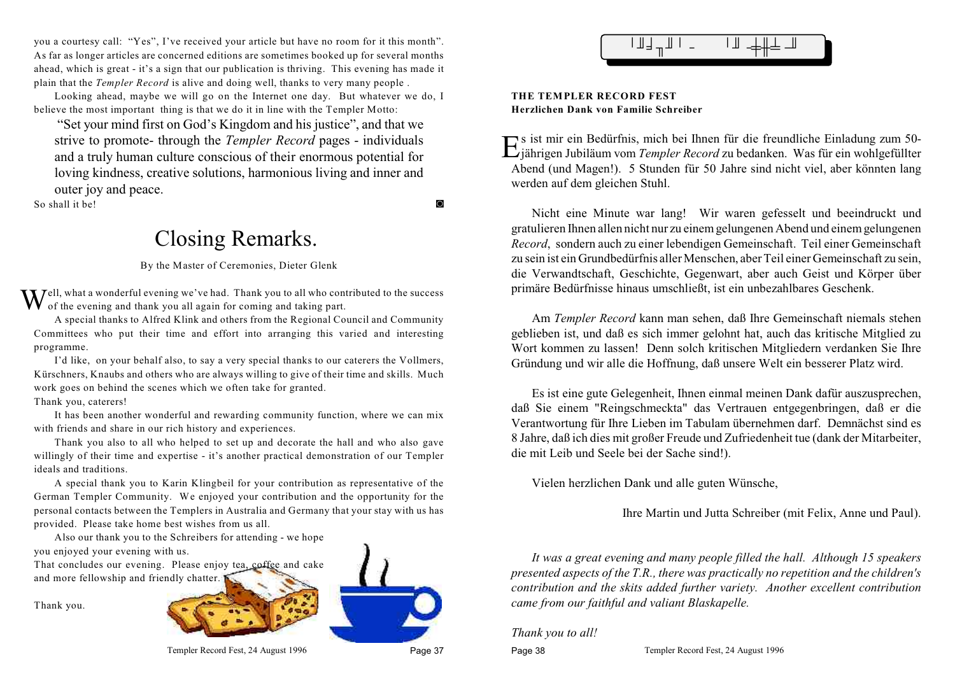you a courtesy call: "Yes", I've received your article but have no room for it this month". As far as longer articles are concerned editions are sometimes booked up for several months ahead, which is great - it's a sign that our publication is thriving. This evening has made it plain that the *Templer Record* is alive and doing well, thanks to very many people .

Looking ahead, maybe we will go on the Internet one day. But whatever we do, I believe the most important thing is that we do it in line with the Templer Motto:

 "Set your mind first on God's Kingdom and his justice", and that we strive to promote- through the *Templer Record* pages - individuals and a truly human culture conscious of their enormous potential for loving kindness, creative solutions, harmonious living and inner and outer joy and peace.

So shall it be!

## Closing Remarks.

By the Master of Ceremonies, Dieter Glenk

Well, what a wonderful evening we've had. Thank you to all who contributed to the success of the evening and thank you all again for coming and taking part.

A special thanks to Alfred Klink and others from the Regional Council and Community Committees who put their time and effort into arranging this varied and interesting programme.

I'd like, on your behalf also, to say a very special thanks to our caterers the Vollmers, Kürschners, Knaubs and others who are always willing to give of their time and skills. Much work goes on behind the scenes which we often take for granted.

Thank you, caterers!

It has been another wonderful and rewarding community function, where we can mix with friends and share in our rich history and experiences.

Thank you also to all who helped to set up and decorate the hall and who also gave willingly of their time and expertise - it's another practical demonstration of our Templer ideals and traditions.

A special thank you to Karin Klingbeil for your contribution as representative of the German Templer Community. We enjoyed your contribution and the opportunity for the personal contacts between the Templers in Australia and Germany that your stay with us has provided. Please take home best wishes from us all.

Also our thank you to the Schreibers for attending - we hope you enjoyed your evening with us.

That concludes our evening. Please enjoy tea, coffee and cake and more fellowship and friendly chatter.

Thank you.





#### **THE TEMPLER RECORD FEST Herzlichen Dank von Familie Schreiber**

Es ist mir ein Bedürfnis, mich bei Ihnen für die freundliche Einladung zum 50-<br>Ejährigen Jubiläum vom Templer Record zu bedanken. Was für ein wohlgefüllter jährigen Jubiläum vom *Templer Record* zu bedanken. Was für ein wohlgefüllter Abend (und Magen!). 5 Stunden für 50 Jahre sind nicht viel, aber könnten lang werden auf dem gleichen Stuhl.

Nicht eine Minute war lang! Wir waren gefesselt und beeindruckt und gratulieren Ihnen allen nicht nur zu einem gelungenen Abend und einem gelungenen *Record*, sondern auch zu einer lebendigen Gemeinschaft. Teil einer Gemeinschaft zu sein ist ein Grundbedürfnis aller Menschen, aber Teil einer Gemeinschaft zu sein, die Verwandtschaft, Geschichte, Gegenwart, aber auch Geist und Körper über primäre Bedürfnisse hinaus umschließt, ist ein unbezahlbares Geschenk.

Am *Templer Record* kann man sehen, daß Ihre Gemeinschaft niemals stehen geblieben ist, und daß es sich immer gelohnt hat, auch das kritische Mitglied zu Wort kommen zu lassen! Denn solch kritischen Mitgliedern verdanken Sie Ihre Gründung und wir alle die Hoffnung, daß unsere Welt ein besserer Platz wird.

Es ist eine gute Gelegenheit, Ihnen einmal meinen Dank dafür auszusprechen, daß Sie einem "Reingschmeckta" das Vertrauen entgegenbringen, daß er die Verantwortung für Ihre Lieben im Tabulam übernehmen darf. Demnächst sind es 8 Jahre, daß ich dies mit großer Freude und Zufriedenheit tue (dank der Mitarbeiter, die mit Leib und Seele bei der Sache sind!).

Vielen herzlichen Dank und alle guten Wünsche,

Ihre Martin und Jutta Schreiber (mit Felix, Anne und Paul).

*It was a great evening and many people filled the hall. Although 15 speakers presented aspects of the T.R., there was practically no repetition and the children's contribution and the skits added further variety. Another excellent contribution came from our faithful and valiant Blaskapelle.* 

#### *Thank you to all!*